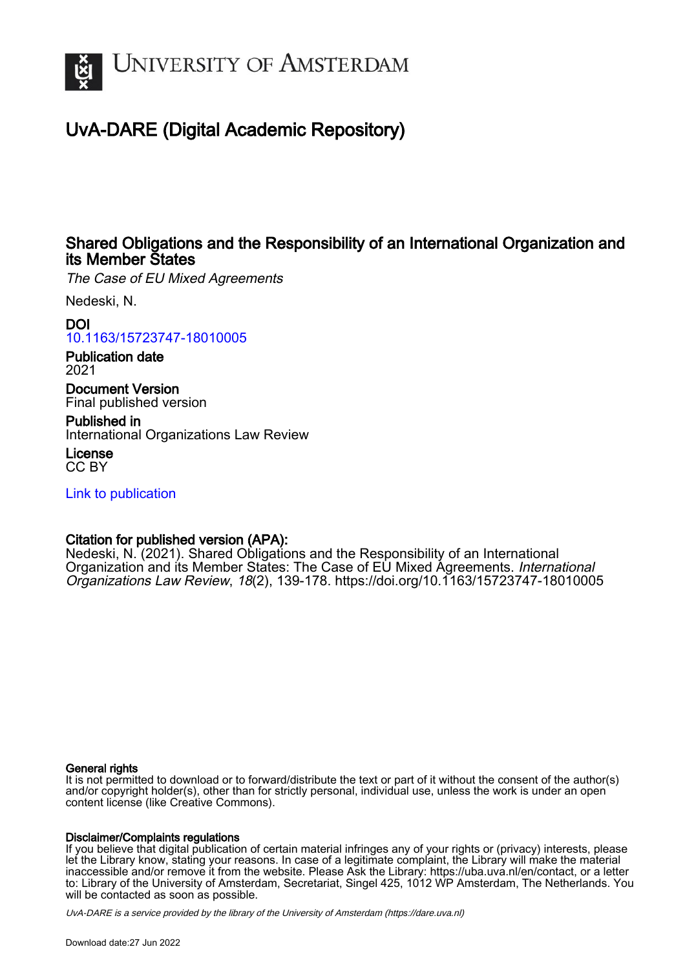

# UvA-DARE (Digital Academic Repository)

## Shared Obligations and the Responsibility of an International Organization and its Member States

The Case of EU Mixed Agreements

Nedeski, N.

DOI

[10.1163/15723747-18010005](https://doi.org/10.1163/15723747-18010005)

Publication date 2021

Document Version Final published version

Published in International Organizations Law Review

License CC BY

[Link to publication](https://dare.uva.nl/personal/pure/en/publications/shared-obligations-and-the-responsibility-of-an-international-organization-and-its-member-states(8e361943-eb5a-4737-ac09-6d6e882048c2).html)

## Citation for published version (APA):

Nedeski, N. (2021). Shared Obligations and the Responsibility of an International Organization and its Member States: The Case of EU Mixed Agreements. International Organizations Law Review, 18(2), 139-178. <https://doi.org/10.1163/15723747-18010005>

## General rights

It is not permitted to download or to forward/distribute the text or part of it without the consent of the author(s) and/or copyright holder(s), other than for strictly personal, individual use, unless the work is under an open content license (like Creative Commons).

## Disclaimer/Complaints regulations

If you believe that digital publication of certain material infringes any of your rights or (privacy) interests, please let the Library know, stating your reasons. In case of a legitimate complaint, the Library will make the material inaccessible and/or remove it from the website. Please Ask the Library: https://uba.uva.nl/en/contact, or a letter to: Library of the University of Amsterdam, Secretariat, Singel 425, 1012 WP Amsterdam, The Netherlands. You will be contacted as soon as possible.

UvA-DARE is a service provided by the library of the University of Amsterdam (http*s*://dare.uva.nl)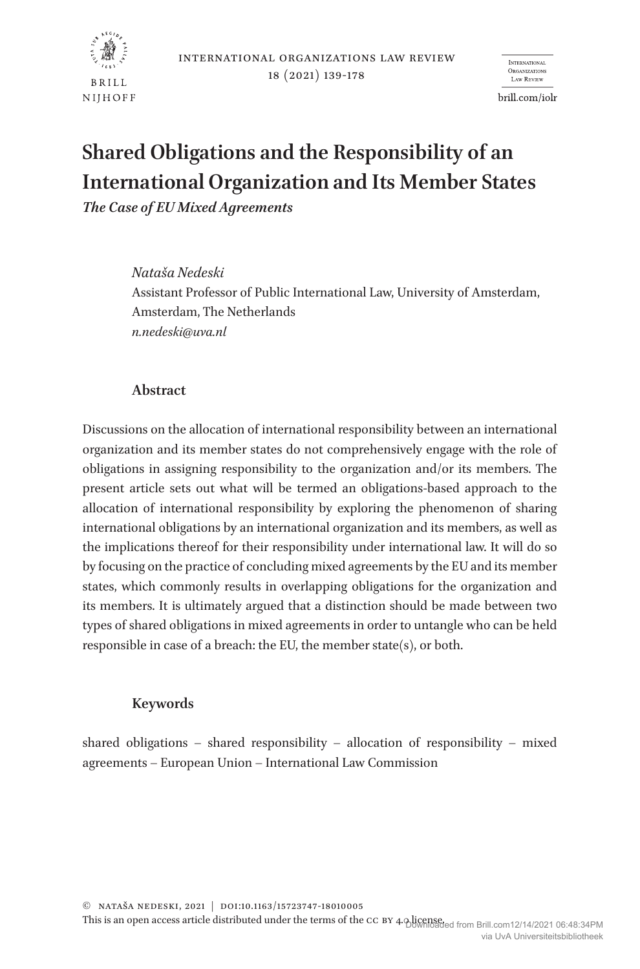

**INTERNATIONAL ORGANIZATION** Law Review

brill.com/iolr

# **Shared Obligations and the Responsibility of an International Organization and Its Member States**

*The Case of EU Mixed Agreements*

*Nataša Nedeski*  Assistant Professor of Public International Law, University of Amsterdam, Amsterdam, The Netherlands *n.nedeski@uva.nl*

#### **Abstract**

Discussions on the allocation of international responsibility between an international organization and its member states do not comprehensively engage with the role of obligations in assigning responsibility to the organization and/or its members. The present article sets out what will be termed an obligations-based approach to the allocation of international responsibility by exploring the phenomenon of sharing international obligations by an international organization and its members, as well as the implications thereof for their responsibility under international law. It will do so by focusing on the practice of concluding mixed agreements by the EU and its member states, which commonly results in overlapping obligations for the organization and its members. It is ultimately argued that a distinction should be made between two types of shared obligations in mixed agreements in order to untangle who can be held responsible in case of a breach: the EU, the member state(s), or both.

## **Keywords**

shared obligations – shared responsibility – allocation of responsibility – mixed agreements – European Union – International Law Commission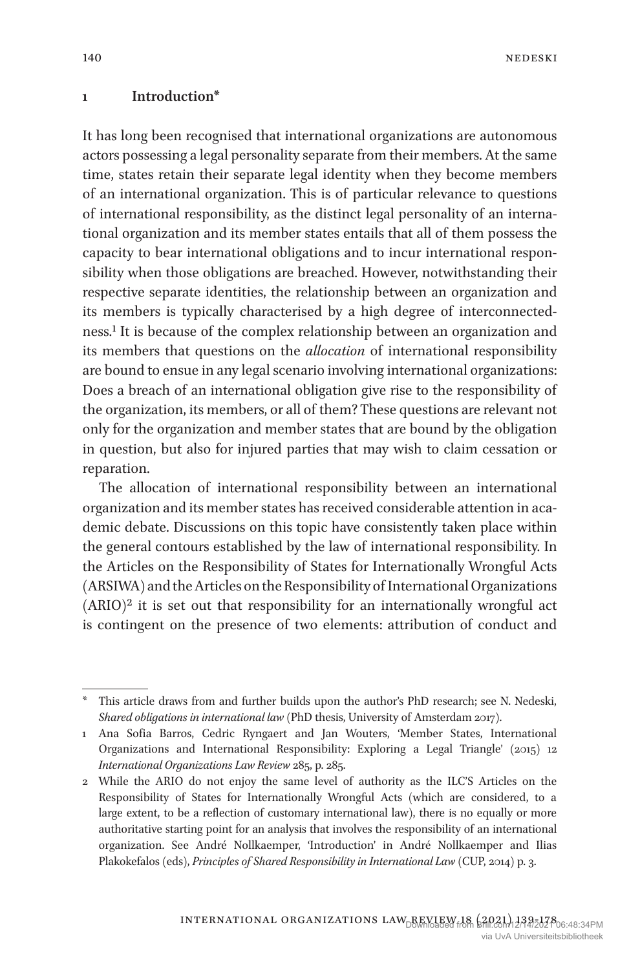#### **1 Introduction\***

It has long been recognised that international organizations are autonomous actors possessing a legal personality separate from their members. At the same time, states retain their separate legal identity when they become members of an international organization. This is of particular relevance to questions of international responsibility, as the distinct legal personality of an international organization and its member states entails that all of them possess the capacity to bear international obligations and to incur international responsibility when those obligations are breached. However, notwithstanding their respective separate identities, the relationship between an organization and its members is typically characterised by a high degree of interconnectedness.1 It is because of the complex relationship between an organization and its members that questions on the *allocation* of international responsibility are bound to ensue in any legal scenario involving international organizations: Does a breach of an international obligation give rise to the responsibility of the organization, its members, or all of them? These questions are relevant not only for the organization and member states that are bound by the obligation in question, but also for injured parties that may wish to claim cessation or reparation.

The allocation of international responsibility between an international organization and its member states has received considerable attention in academic debate. Discussions on this topic have consistently taken place within the general contours established by the law of international responsibility. In the Articles on the Responsibility of States for Internationally Wrongful Acts (ARSIWA) and the Articles on the Responsibility of International Organizations  $(ARIO)^2$  it is set out that responsibility for an internationally wrongful act is contingent on the presence of two elements: attribution of conduct and

This article draws from and further builds upon the author's PhD research; see N. Nedeski, *Shared obligations in international law* (PhD thesis, University of Amsterdam 2017).

<sup>1</sup> Ana Sofia Barros, Cedric Ryngaert and Jan Wouters, 'Member States, International Organizations and International Responsibility: Exploring a Legal Triangle' (2015) 12 *International Organizations Law Review* 285, p. 285.

<sup>2</sup> While the ARIO do not enjoy the same level of authority as the ILC'S Articles on the Responsibility of States for Internationally Wrongful Acts (which are considered, to a large extent, to be a reflection of customary international law), there is no equally or more authoritative starting point for an analysis that involves the responsibility of an international organization. See André Nollkaemper, 'Introduction' in André Nollkaemper and Ilias Plakokefalos (eds), *Principles of Shared Responsibility in International Law* (CUP, 2014) p. 3.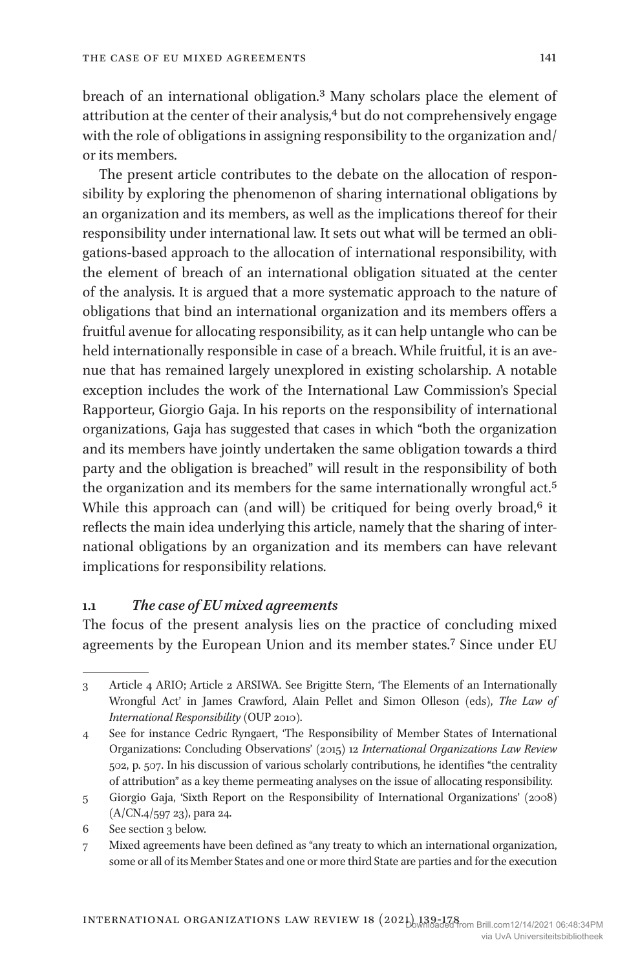breach of an international obligation.3 Many scholars place the element of attribution at the center of their analysis,<sup>4</sup> but do not comprehensively engage with the role of obligations in assigning responsibility to the organization and/ or its members.

The present article contributes to the debate on the allocation of responsibility by exploring the phenomenon of sharing international obligations by an organization and its members, as well as the implications thereof for their responsibility under international law. It sets out what will be termed an obligations-based approach to the allocation of international responsibility, with the element of breach of an international obligation situated at the center of the analysis. It is argued that a more systematic approach to the nature of obligations that bind an international organization and its members offers a fruitful avenue for allocating responsibility, as it can help untangle who can be held internationally responsible in case of a breach. While fruitful, it is an avenue that has remained largely unexplored in existing scholarship. A notable exception includes the work of the International Law Commission's Special Rapporteur, Giorgio Gaja. In his reports on the responsibility of international organizations, Gaja has suggested that cases in which "both the organization and its members have jointly undertaken the same obligation towards a third party and the obligation is breached" will result in the responsibility of both the organization and its members for the same internationally wrongful act.5 While this approach can (and will) be critiqued for being overly broad, $6$  it reflects the main idea underlying this article, namely that the sharing of international obligations by an organization and its members can have relevant implications for responsibility relations.

#### **1.1** *The case of EU mixed agreements*

The focus of the present analysis lies on the practice of concluding mixed agreements by the European Union and its member states.7 Since under EU

6 See section 3 below.

<sup>3</sup> Article 4 ARIO; Article 2 ARSIWA. See Brigitte Stern, 'The Elements of an Internationally Wrongful Act' in James Crawford, Alain Pellet and Simon Olleson (eds), *The Law of International Responsibility* (OUP 2010).

<sup>4</sup> See for instance Cedric Ryngaert, 'The Responsibility of Member States of International Organizations: Concluding Observations' (2015) 12 *International Organizations Law Review* 502, p. 507. In his discussion of various scholarly contributions, he identifies "the centrality of attribution" as a key theme permeating analyses on the issue of allocating responsibility.

<sup>5</sup> Giorgio Gaja, 'Sixth Report on the Responsibility of International Organizations' (2008) (A/CN.4/597 23), para 24.

<sup>7</sup> Mixed agreements have been defined as "any treaty to which an international organization, some or all of its Member States and one or more third State are parties and for the execution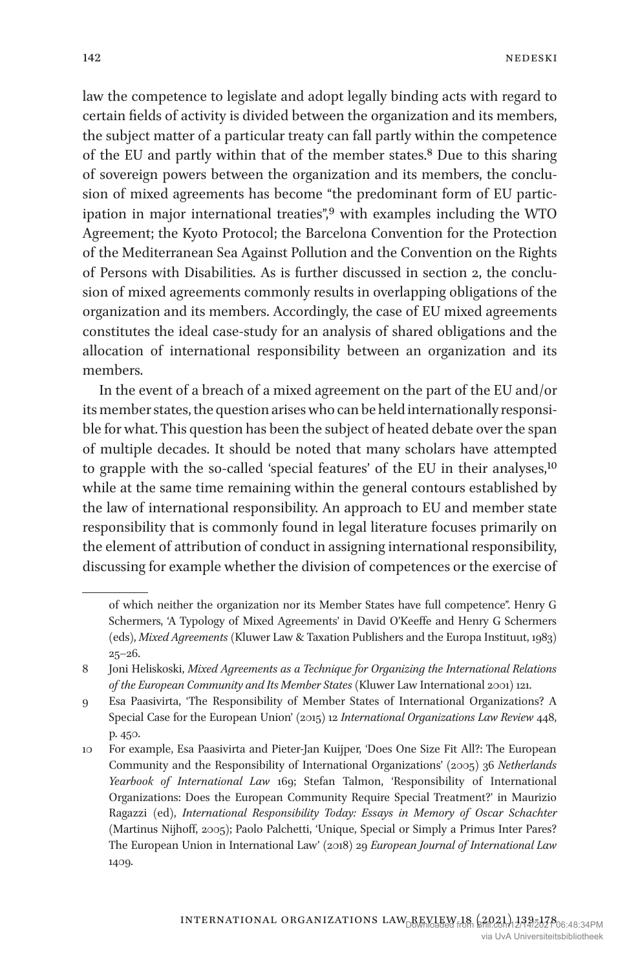law the competence to legislate and adopt legally binding acts with regard to certain fields of activity is divided between the organization and its members, the subject matter of a particular treaty can fall partly within the competence of the EU and partly within that of the member states.8 Due to this sharing of sovereign powers between the organization and its members, the conclusion of mixed agreements has become "the predominant form of EU participation in major international treaties",9 with examples including the WTO Agreement; the Kyoto Protocol; the Barcelona Convention for the Protection of the Mediterranean Sea Against Pollution and the Convention on the Rights of Persons with Disabilities. As is further discussed in section 2, the conclusion of mixed agreements commonly results in overlapping obligations of the organization and its members. Accordingly, the case of EU mixed agreements constitutes the ideal case-study for an analysis of shared obligations and the allocation of international responsibility between an organization and its members.

In the event of a breach of a mixed agreement on the part of the EU and/or its member states, the question arises who can be held internationally responsible for what. This question has been the subject of heated debate over the span of multiple decades. It should be noted that many scholars have attempted to grapple with the so-called 'special features' of the EU in their analyses,<sup>10</sup> while at the same time remaining within the general contours established by the law of international responsibility. An approach to EU and member state responsibility that is commonly found in legal literature focuses primarily on the element of attribution of conduct in assigning international responsibility, discussing for example whether the division of competences or the exercise of

of which neither the organization nor its Member States have full competence". Henry G Schermers, 'A Typology of Mixed Agreements' in David O'Keeffe and Henry G Schermers (eds), *Mixed Agreements* (Kluwer Law & Taxation Publishers and the Europa Instituut, 1983)  $25 - 26.$ 

<sup>8</sup> Joni Heliskoski, *Mixed Agreements as a Technique for Organizing the International Relations of the European Community and Its Member States* (Kluwer Law International 2001) 121.

<sup>9</sup> Esa Paasivirta, 'The Responsibility of Member States of International Organizations? A Special Case for the European Union' (2015) 12 *International Organizations Law Review* 448, p. 450.

<sup>10</sup> For example, Esa Paasivirta and Pieter-Jan Kuijper, 'Does One Size Fit All?: The European Community and the Responsibility of International Organizations' (2005) 36 *Netherlands Yearbook of International Law* 169; Stefan Talmon, 'Responsibility of International Organizations: Does the European Community Require Special Treatment?' in Maurizio Ragazzi (ed), *International Responsibility Today: Essays in Memory of Oscar Schachter* (Martinus Nijhoff, 2005); Paolo Palchetti, 'Unique, Special or Simply a Primus Inter Pares? The European Union in International Law' (2018) 29 *European Journal of International Law* 1409.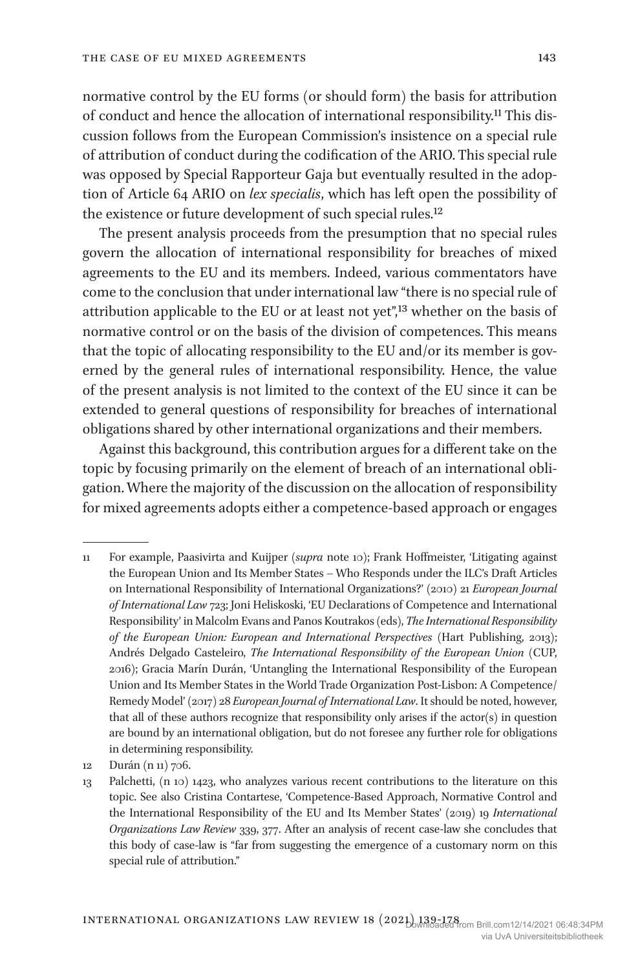normative control by the EU forms (or should form) the basis for attribution of conduct and hence the allocation of international responsibility.11 This discussion follows from the European Commission's insistence on a special rule of attribution of conduct during the codification of the ARIO. This special rule was opposed by Special Rapporteur Gaja but eventually resulted in the adoption of Article 64 ARIO on *lex specialis*, which has left open the possibility of the existence or future development of such special rules.<sup>12</sup>

The present analysis proceeds from the presumption that no special rules govern the allocation of international responsibility for breaches of mixed agreements to the EU and its members. Indeed, various commentators have come to the conclusion that under international law "there is no special rule of attribution applicable to the EU or at least not yet",13 whether on the basis of normative control or on the basis of the division of competences. This means that the topic of allocating responsibility to the EU and/or its member is governed by the general rules of international responsibility. Hence, the value of the present analysis is not limited to the context of the EU since it can be extended to general questions of responsibility for breaches of international obligations shared by other international organizations and their members.

Against this background, this contribution argues for a different take on the topic by focusing primarily on the element of breach of an international obligation. Where the majority of the discussion on the allocation of responsibility for mixed agreements adopts either a competence-based approach or engages

<sup>11</sup> For example, Paasivirta and Kuijper (*supra* note 10); Frank Hoffmeister, 'Litigating against the European Union and Its Member States – Who Responds under the ILC's Draft Articles on International Responsibility of International Organizations?' (2010) 21 *European Journal of International Law* 723; Joni Heliskoski, 'EU Declarations of Competence and International Responsibility' in Malcolm Evans and Panos Koutrakos (eds), *The International Responsibility of the European Union: European and International Perspectives* (Hart Publishing, 2013); Andrés Delgado Casteleiro, *The International Responsibility of the European Union* (CUP, 2016); Gracia Marín Durán, 'Untangling the International Responsibility of the European Union and Its Member States in the World Trade Organization Post-Lisbon: A Competence/ Remedy Model' (2017) 28 *European Journal of International Law*. It should be noted, however, that all of these authors recognize that responsibility only arises if the actor(s) in question are bound by an international obligation, but do not foresee any further role for obligations in determining responsibility.

<sup>12</sup> Durán (n 11) 706.

<sup>13</sup> Palchetti, (n 10) 1423, who analyzes various recent contributions to the literature on this topic. See also Cristina Contartese, 'Competence-Based Approach, Normative Control and the International Responsibility of the EU and Its Member States' (2019) 19 *International Organizations Law Review* 339, 377. After an analysis of recent case-law she concludes that this body of case-law is "far from suggesting the emergence of a customary norm on this special rule of attribution."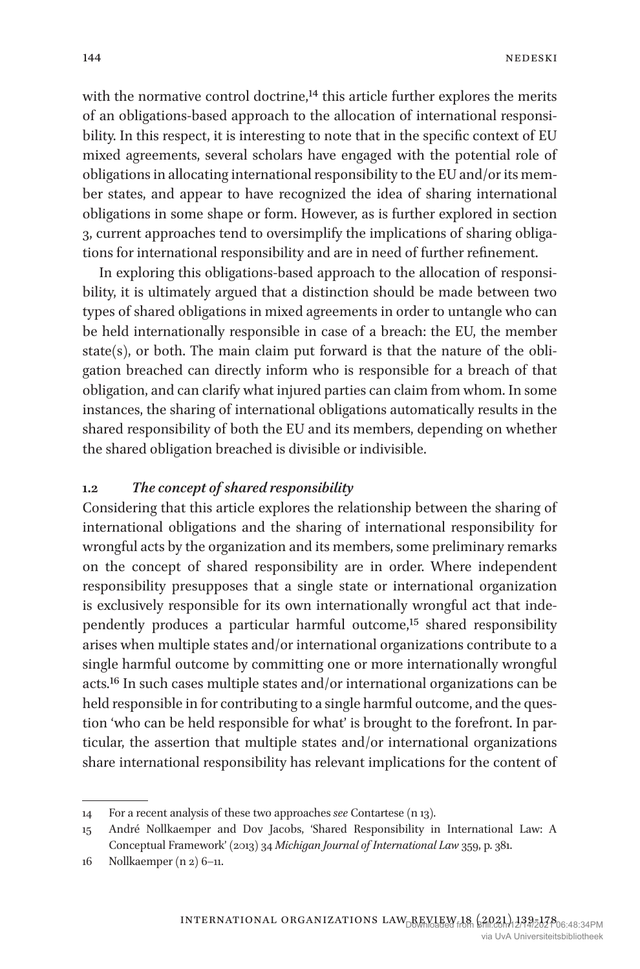with the normative control doctrine,<sup>14</sup> this article further explores the merits of an obligations-based approach to the allocation of international responsibility. In this respect, it is interesting to note that in the specific context of EU mixed agreements, several scholars have engaged with the potential role of obligations in allocating international responsibility to the EU and/or its member states, and appear to have recognized the idea of sharing international obligations in some shape or form. However, as is further explored in section 3, current approaches tend to oversimplify the implications of sharing obligations for international responsibility and are in need of further refinement.

In exploring this obligations-based approach to the allocation of responsibility, it is ultimately argued that a distinction should be made between two types of shared obligations in mixed agreements in order to untangle who can be held internationally responsible in case of a breach: the EU, the member state $(s)$ , or both. The main claim put forward is that the nature of the obligation breached can directly inform who is responsible for a breach of that obligation, and can clarify what injured parties can claim from whom. In some instances, the sharing of international obligations automatically results in the shared responsibility of both the EU and its members, depending on whether the shared obligation breached is divisible or indivisible.

#### **1.2** *The concept of shared responsibility*

Considering that this article explores the relationship between the sharing of international obligations and the sharing of international responsibility for wrongful acts by the organization and its members, some preliminary remarks on the concept of shared responsibility are in order. Where independent responsibility presupposes that a single state or international organization is exclusively responsible for its own internationally wrongful act that independently produces a particular harmful outcome,<sup>15</sup> shared responsibility arises when multiple states and/or international organizations contribute to a single harmful outcome by committing one or more internationally wrongful acts.16 In such cases multiple states and/or international organizations can be held responsible in for contributing to a single harmful outcome, and the question 'who can be held responsible for what' is brought to the forefront. In particular, the assertion that multiple states and/or international organizations share international responsibility has relevant implications for the content of

<sup>14</sup> For a recent analysis of these two approaches *see* Contartese (n 13).

<sup>15</sup> André Nollkaemper and Dov Jacobs, 'Shared Responsibility in International Law: A Conceptual Framework' (2013) 34 *Michigan Journal of International Law* 359, p. 381.

<sup>16</sup> Nollkaemper (n 2) 6–11.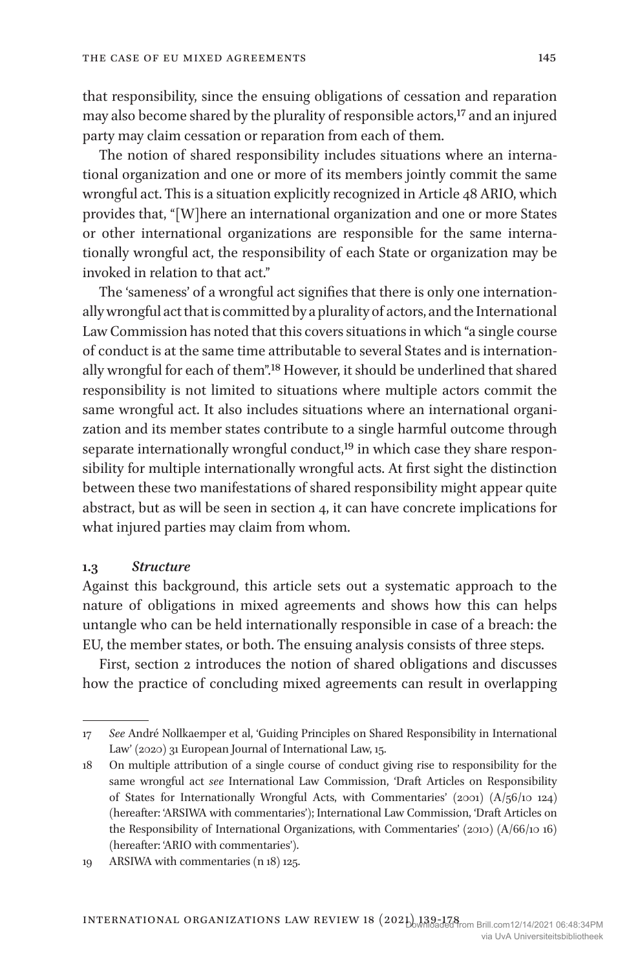that responsibility, since the ensuing obligations of cessation and reparation may also become shared by the plurality of responsible actors,<sup>17</sup> and an injured party may claim cessation or reparation from each of them.

The notion of shared responsibility includes situations where an international organization and one or more of its members jointly commit the same wrongful act. This is a situation explicitly recognized in Article 48 ARIO, which provides that, "[W]here an international organization and one or more States or other international organizations are responsible for the same internationally wrongful act, the responsibility of each State or organization may be invoked in relation to that act."

The 'sameness' of a wrongful act signifies that there is only one internationally wrongful act that is committed by a plurality of actors, and the International Law Commission has noted that this covers situations in which "a single course of conduct is at the same time attributable to several States and is internationally wrongful for each of them".18 However, it should be underlined that shared responsibility is not limited to situations where multiple actors commit the same wrongful act. It also includes situations where an international organization and its member states contribute to a single harmful outcome through separate internationally wrongful conduct,<sup>19</sup> in which case they share responsibility for multiple internationally wrongful acts. At first sight the distinction between these two manifestations of shared responsibility might appear quite abstract, but as will be seen in section 4, it can have concrete implications for what injured parties may claim from whom.

#### **1.3** *Structure*

Against this background, this article sets out a systematic approach to the nature of obligations in mixed agreements and shows how this can helps untangle who can be held internationally responsible in case of a breach: the EU, the member states, or both. The ensuing analysis consists of three steps.

First, section 2 introduces the notion of shared obligations and discusses how the practice of concluding mixed agreements can result in overlapping

<sup>17</sup> *See* André Nollkaemper et al, 'Guiding Principles on Shared Responsibility in International Law' (2020) 31 European Journal of International Law, 15.

<sup>18</sup> On multiple attribution of a single course of conduct giving rise to responsibility for the same wrongful act *see* International Law Commission, 'Draft Articles on Responsibility of States for Internationally Wrongful Acts, with Commentaries' (2001) (A/56/10 124) (hereafter: 'ARSIWA with commentaries'); International Law Commission, 'Draft Articles on the Responsibility of International Organizations, with Commentaries' (2010) (A/66/10 16) (hereafter: 'ARIO with commentaries').

<sup>19</sup> ARSIWA with commentaries (n 18) 125.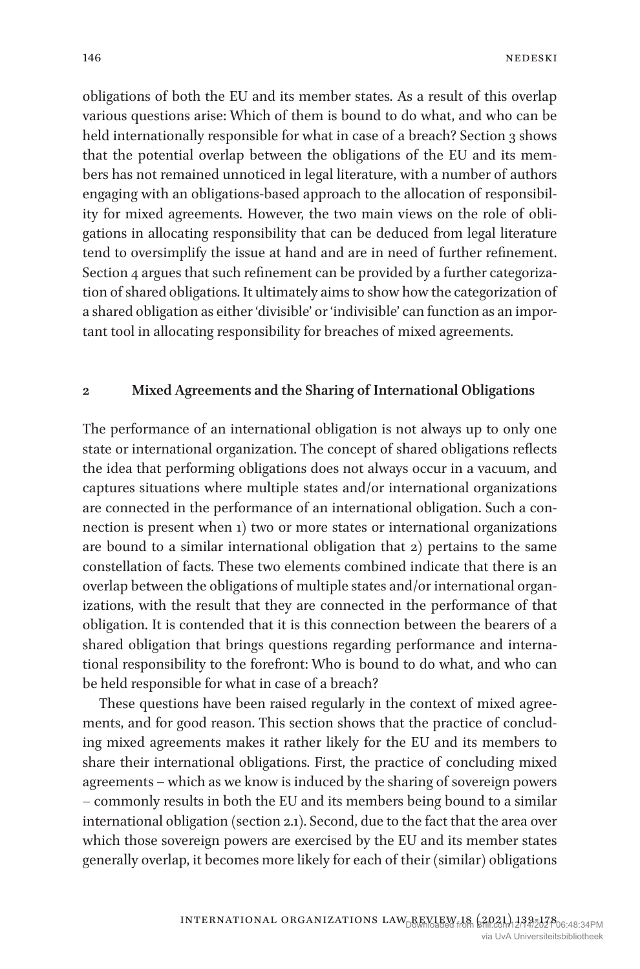obligations of both the EU and its member states. As a result of this overlap various questions arise: Which of them is bound to do what, and who can be held internationally responsible for what in case of a breach? Section 3 shows that the potential overlap between the obligations of the EU and its members has not remained unnoticed in legal literature, with a number of authors engaging with an obligations-based approach to the allocation of responsibility for mixed agreements. However, the two main views on the role of obligations in allocating responsibility that can be deduced from legal literature tend to oversimplify the issue at hand and are in need of further refinement. Section 4 argues that such refinement can be provided by a further categorization of shared obligations. It ultimately aims to show how the categorization of a shared obligation as either 'divisible' or 'indivisible' can function as an important tool in allocating responsibility for breaches of mixed agreements.

#### **2 Mixed Agreements and the Sharing of International Obligations**

The performance of an international obligation is not always up to only one state or international organization. The concept of shared obligations reflects the idea that performing obligations does not always occur in a vacuum, and captures situations where multiple states and/or international organizations are connected in the performance of an international obligation. Such a connection is present when 1) two or more states or international organizations are bound to a similar international obligation that 2) pertains to the same constellation of facts. These two elements combined indicate that there is an overlap between the obligations of multiple states and/or international organizations, with the result that they are connected in the performance of that obligation. It is contended that it is this connection between the bearers of a shared obligation that brings questions regarding performance and international responsibility to the forefront: Who is bound to do what, and who can be held responsible for what in case of a breach?

These questions have been raised regularly in the context of mixed agreements, and for good reason. This section shows that the practice of concluding mixed agreements makes it rather likely for the EU and its members to share their international obligations. First, the practice of concluding mixed agreements – which as we know is induced by the sharing of sovereign powers – commonly results in both the EU and its members being bound to a similar international obligation (section 2.1). Second, due to the fact that the area over which those sovereign powers are exercised by the EU and its member states generally overlap, it becomes more likely for each of their (similar) obligations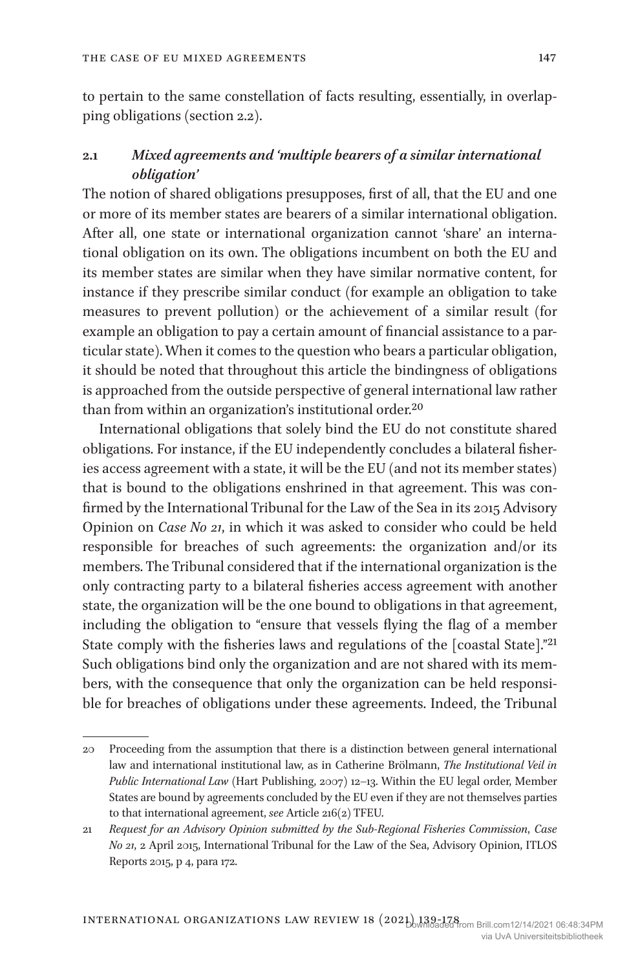to pertain to the same constellation of facts resulting, essentially, in overlapping obligations (section 2.2).

## **2.1** *Mixed agreements and 'multiple bearers of a similar international obligation'*

The notion of shared obligations presupposes, first of all, that the EU and one or more of its member states are bearers of a similar international obligation. After all, one state or international organization cannot 'share' an international obligation on its own. The obligations incumbent on both the EU and its member states are similar when they have similar normative content, for instance if they prescribe similar conduct (for example an obligation to take measures to prevent pollution) or the achievement of a similar result (for example an obligation to pay a certain amount of financial assistance to a particular state). When it comes to the question who bears a particular obligation, it should be noted that throughout this article the bindingness of obligations is approached from the outside perspective of general international law rather than from within an organization's institutional order.<sup>20</sup>

International obligations that solely bind the EU do not constitute shared obligations. For instance, if the EU independently concludes a bilateral fisheries access agreement with a state, it will be the EU (and not its member states) that is bound to the obligations enshrined in that agreement. This was confirmed by the International Tribunal for the Law of the Sea in its 2015 Advisory Opinion on *Case No 21*, in which it was asked to consider who could be held responsible for breaches of such agreements: the organization and/or its members. The Tribunal considered that if the international organization is the only contracting party to a bilateral fisheries access agreement with another state, the organization will be the one bound to obligations in that agreement, including the obligation to "ensure that vessels flying the flag of a member State comply with the fisheries laws and regulations of the [coastal State]."21 Such obligations bind only the organization and are not shared with its members, with the consequence that only the organization can be held responsible for breaches of obligations under these agreements. Indeed, the Tribunal

<sup>20</sup> Proceeding from the assumption that there is a distinction between general international law and international institutional law, as in Catherine Brölmann, *The Institutional Veil in Public International Law* (Hart Publishing, 2007) 12–13. Within the EU legal order, Member States are bound by agreements concluded by the EU even if they are not themselves parties to that international agreement, *see* Article 216(2) TFEU.

<sup>21</sup> *Request for an Advisory Opinion submitted by the Sub-Regional Fisheries Commission*, *Case No 21*, 2 April 2015, International Tribunal for the Law of the Sea, Advisory Opinion, ITLOS Reports 2015, p 4, para 172.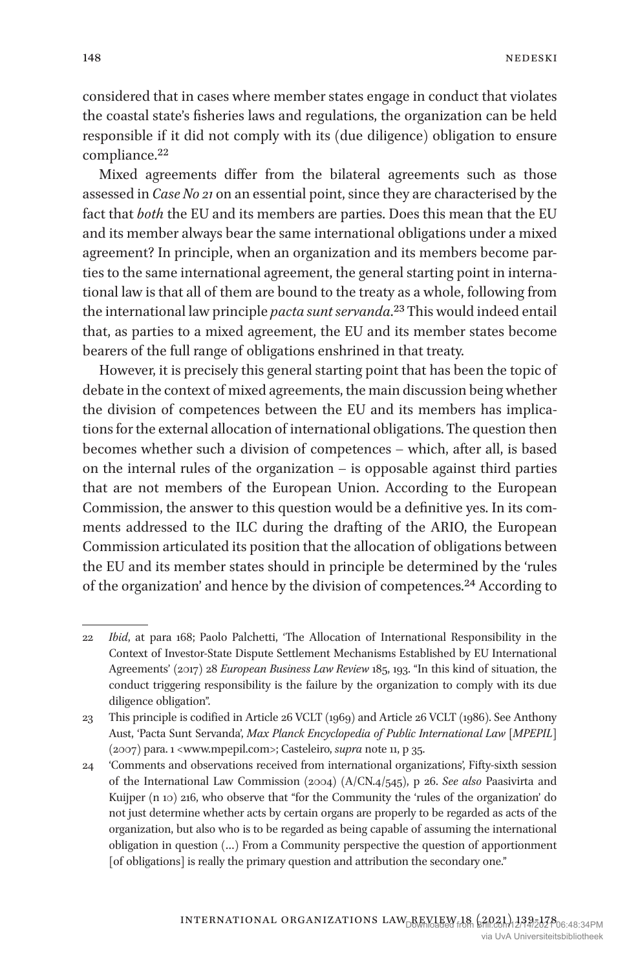148

considered that in cases where member states engage in conduct that violates the coastal state's fisheries laws and regulations, the organization can be held responsible if it did not comply with its (due diligence) obligation to ensure compliance.<sup>22</sup>

Mixed agreements differ from the bilateral agreements such as those assessed in *Case No 21* on an essential point, since they are characterised by the fact that *both* the EU and its members are parties. Does this mean that the EU and its member always bear the same international obligations under a mixed agreement? In principle, when an organization and its members become parties to the same international agreement, the general starting point in international law is that all of them are bound to the treaty as a whole, following from the international law principle *pacta sunt servanda*.23 This would indeed entail that, as parties to a mixed agreement, the EU and its member states become bearers of the full range of obligations enshrined in that treaty.

However, it is precisely this general starting point that has been the topic of debate in the context of mixed agreements, the main discussion being whether the division of competences between the EU and its members has implications for the external allocation of international obligations. The question then becomes whether such a division of competences – which, after all, is based on the internal rules of the organization – is opposable against third parties that are not members of the European Union. According to the European Commission, the answer to this question would be a definitive yes. In its comments addressed to the ILC during the drafting of the ARIO, the European Commission articulated its position that the allocation of obligations between the EU and its member states should in principle be determined by the 'rules of the organization' and hence by the division of competences.<sup>24</sup> According to

<sup>22</sup> *Ibid*, at para 168; Paolo Palchetti, 'The Allocation of International Responsibility in the Context of Investor-State Dispute Settlement Mechanisms Established by EU International Agreements' (2017) 28 *European Business Law Review* 185, 193. "In this kind of situation, the conduct triggering responsibility is the failure by the organization to comply with its due diligence obligation".

<sup>23</sup> This principle is codified in Article 26 VCLT (1969) and Article 26 VCLT (1986). See Anthony Aust, 'Pacta Sunt Servanda', *Max Planck Encyclopedia of Public International Law [MPEPIL]* (2007) para. 1 <www.mpepil.com>; Casteleiro, *supra* note 11, p 35.

<sup>24</sup> 'Comments and observations received from international organizations', Fifty-sixth session of the International Law Commission (2004) (A/CN.4/545), p 26. *See also* Paasivirta and Kuijper (n 10) 216, who observe that "for the Community the 'rules of the organization' do not just determine whether acts by certain organs are properly to be regarded as acts of the organization, but also who is to be regarded as being capable of assuming the international obligation in question (…) From a Community perspective the question of apportionment [of obligations] is really the primary question and attribution the secondary one."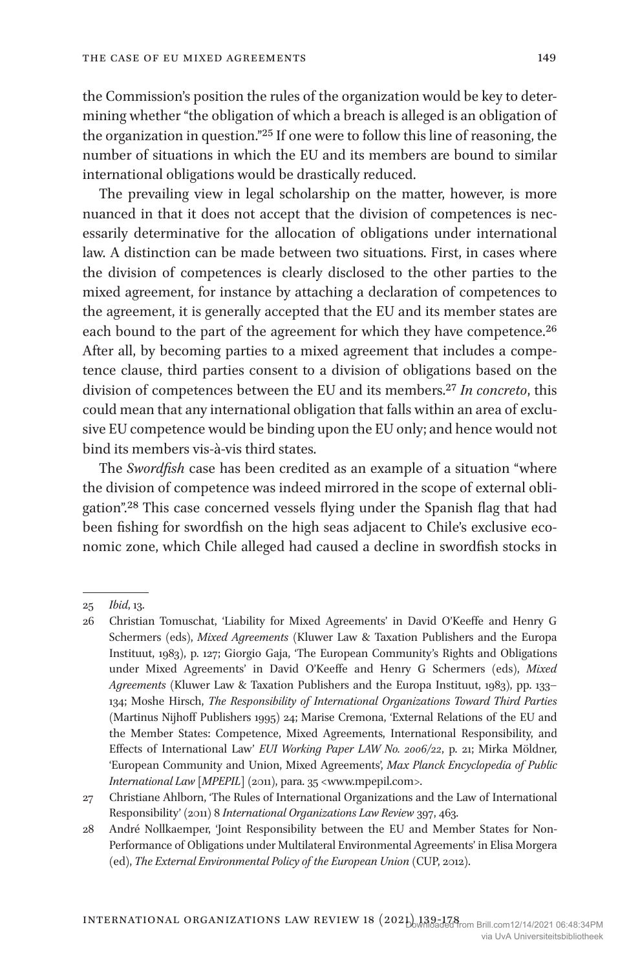the Commission's position the rules of the organization would be key to determining whether "the obligation of which a breach is alleged is an obligation of the organization in question."25 If one were to follow this line of reasoning, the number of situations in which the EU and its members are bound to similar international obligations would be drastically reduced.

The prevailing view in legal scholarship on the matter, however, is more nuanced in that it does not accept that the division of competences is necessarily determinative for the allocation of obligations under international law. A distinction can be made between two situations. First, in cases where the division of competences is clearly disclosed to the other parties to the mixed agreement, for instance by attaching a declaration of competences to the agreement, it is generally accepted that the EU and its member states are each bound to the part of the agreement for which they have competence.<sup>26</sup> After all, by becoming parties to a mixed agreement that includes a competence clause, third parties consent to a division of obligations based on the division of competences between the EU and its members.27 *In concreto*, this could mean that any international obligation that falls within an area of exclusive EU competence would be binding upon the EU only; and hence would not bind its members vis-à-vis third states.

The *Swordfish* case has been credited as an example of a situation "where the division of competence was indeed mirrored in the scope of external obligation".28 This case concerned vessels flying under the Spanish flag that had been fishing for swordfish on the high seas adjacent to Chile's exclusive economic zone, which Chile alleged had caused a decline in swordfish stocks in

<sup>25</sup> *Ibid*, 13.

<sup>26</sup> Christian Tomuschat, 'Liability for Mixed Agreements' in David O'Keeffe and Henry G Schermers (eds), *Mixed Agreements* (Kluwer Law & Taxation Publishers and the Europa Instituut, 1983), p. 127; Giorgio Gaja, 'The European Community's Rights and Obligations under Mixed Agreements' in David O'Keeffe and Henry G Schermers (eds), *Mixed Agreements* (Kluwer Law & Taxation Publishers and the Europa Instituut, 1983), pp. 133– 134; Moshe Hirsch, *The Responsibility of International Organizations Toward Third Parties* (Martinus Nijhoff Publishers 1995) 24; Marise Cremona, 'External Relations of the EU and the Member States: Competence, Mixed Agreements, International Responsibility, and Effects of International Law' *EUI Working Paper LAW No. 2006/22*, p. 21; Mirka Möldner, 'European Community and Union, Mixed Agreements', *Max Planck Encyclopedia of Public International Law [MPEPIL]* (2011), para. 35 <www.mpepil.com>.

<sup>27</sup> Christiane Ahlborn, 'The Rules of International Organizations and the Law of International Responsibility' (2011) 8 *International Organizations Law Review* 397, 463.

<sup>28</sup> André Nollkaemper, 'Joint Responsibility between the EU and Member States for Non-Performance of Obligations under Multilateral Environmental Agreements' in Elisa Morgera (ed), *The External Environmental Policy of the European Union* (CUP, 2012).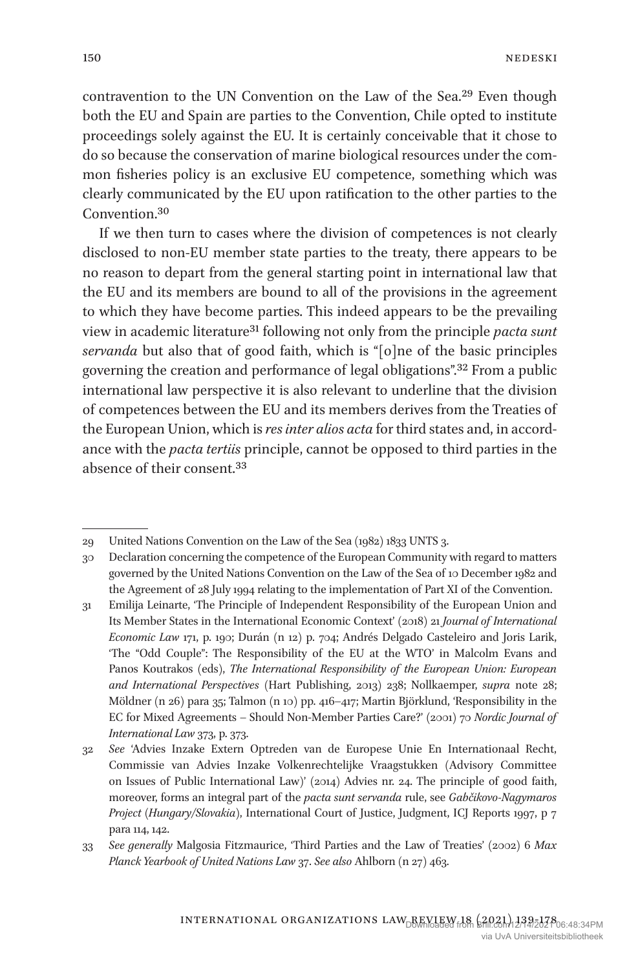contravention to the UN Convention on the Law of the Sea.29 Even though both the EU and Spain are parties to the Convention, Chile opted to institute proceedings solely against the EU. It is certainly conceivable that it chose to do so because the conservation of marine biological resources under the common fisheries policy is an exclusive EU competence, something which was clearly communicated by the EU upon ratification to the other parties to the Convention.30

If we then turn to cases where the division of competences is not clearly disclosed to non-EU member state parties to the treaty, there appears to be no reason to depart from the general starting point in international law that the EU and its members are bound to all of the provisions in the agreement to which they have become parties. This indeed appears to be the prevailing view in academic literature31 following not only from the principle *pacta sunt servanda* but also that of good faith, which is "[o]ne of the basic principles governing the creation and performance of legal obligations".32 From a public international law perspective it is also relevant to underline that the division of competences between the EU and its members derives from the Treaties of the European Union, which is *res inter alios acta* for third states and, in accordance with the *pacta tertiis* principle, cannot be opposed to third parties in the absence of their consent.33

<sup>29</sup> United Nations Convention on the Law of the Sea (1982) 1833 UNTS 3.

<sup>30</sup> Declaration concerning the competence of the European Community with regard to matters governed by the United Nations Convention on the Law of the Sea of 10 December 1982 and the Agreement of 28 July 1994 relating to the implementation of Part XI of the Convention.

<sup>31</sup> Emilija Leinarte, 'The Principle of Independent Responsibility of the European Union and Its Member States in the International Economic Context' (2018) 21 *Journal of International Economic Law* 171, p. 190; Durán (n 12) p. 704; Andrés Delgado Casteleiro and Joris Larik, 'The "Odd Couple": The Responsibility of the EU at the WTO' in Malcolm Evans and Panos Koutrakos (eds), *The International Responsibility of the European Union: European and International Perspectives* (Hart Publishing, 2013) 238; Nollkaemper, *supra* note 28; Möldner (n 26) para 35; Talmon (n 10) pp. 416–417; Martin Björklund, 'Responsibility in the EC for Mixed Agreements – Should Non-Member Parties Care?' (2001) 70 *Nordic Journal of International Law* 373, p. 373.

<sup>32</sup> *See* 'Advies Inzake Extern Optreden van de Europese Unie En Internationaal Recht, Commissie van Advies Inzake Volkenrechtelijke Vraagstukken (Advisory Committee on Issues of Public International Law)' (2014) Advies nr. 24. The principle of good faith, moreover, forms an integral part of the *pacta sunt servanda* rule, see *Gabčikovo-Nagymaros Project (Hungary/Slovakia)*, International Court of Justice, Judgment, ICJ Reports 1997, p 7 para 114, 142.

<sup>33</sup> *See generally* Malgosia Fitzmaurice, 'Third Parties and the Law of Treaties' (2002) 6 *Max Planck Yearbook of United Nations Law* 37. *See also* Ahlborn (n 27) 463.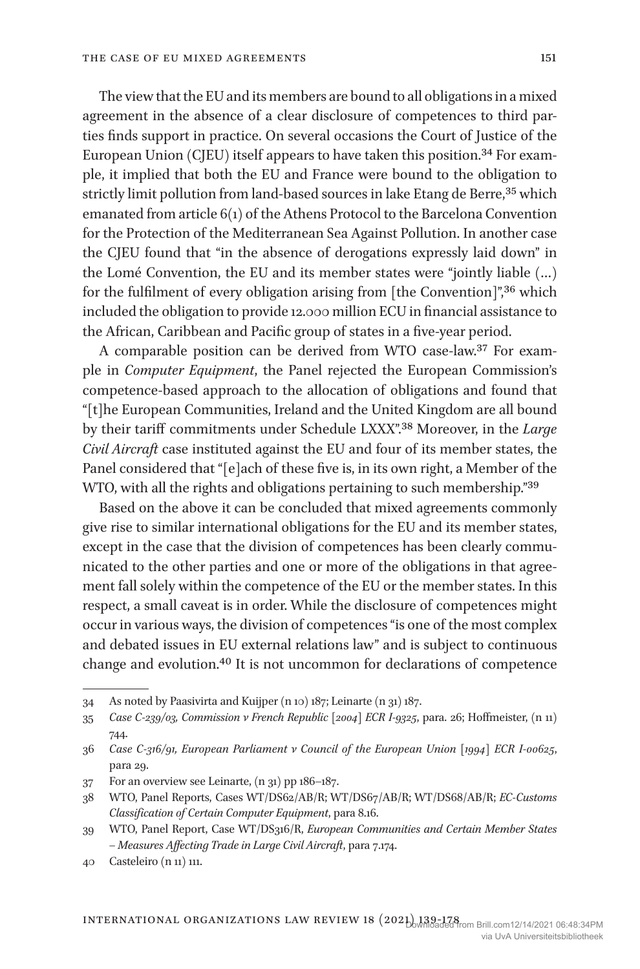The view that the EU and its members are bound to all obligations in a mixed agreement in the absence of a clear disclosure of competences to third parties finds support in practice. On several occasions the Court of Justice of the European Union (CJEU) itself appears to have taken this position.<sup>34</sup> For example, it implied that both the EU and France were bound to the obligation to strictly limit pollution from land-based sources in lake Etang de Berre,<sup>35</sup> which emanated from article 6(1) of the Athens Protocol to the Barcelona Convention for the Protection of the Mediterranean Sea Against Pollution. In another case the CJEU found that "in the absence of derogations expressly laid down" in the Lomé Convention, the EU and its member states were "jointly liable (…) for the fulfilment of every obligation arising from [the Convention]",<sup>36</sup> which included the obligation to provide 12.000 million ECU in financial assistance to the African, Caribbean and Pacific group of states in a five-year period.

A comparable position can be derived from WTO case-law.37 For example in *Computer Equipment*, the Panel rejected the European Commission's competence-based approach to the allocation of obligations and found that "[t]he European Communities, Ireland and the United Kingdom are all bound by their tariff commitments under Schedule LXXX".38 Moreover, in the *Large Civil Aircraft* case instituted against the EU and four of its member states, the Panel considered that "[e]ach of these five is, in its own right, a Member of the WTO, with all the rights and obligations pertaining to such membership."39

Based on the above it can be concluded that mixed agreements commonly give rise to similar international obligations for the EU and its member states, except in the case that the division of competences has been clearly communicated to the other parties and one or more of the obligations in that agreement fall solely within the competence of the EU or the member states. In this respect, a small caveat is in order. While the disclosure of competences might occur in various ways, the division of competences "is one of the most complex and debated issues in EU external relations law" and is subject to continuous change and evolution.40 It is not uncommon for declarations of competence

<sup>34</sup> As noted by Paasivirta and Kuijper (n 10) 187; Leinarte (n 31) 187.

<sup>35</sup> *Case C-239/03, Commission v French Republic [2004] ECR I-9325*, para. 26; Hoffmeister, (n 11) 744.

<sup>36</sup> *Case C-316/91, European Parliament v Council of the European Union [1994] ECR I-00625*, para 29.

<sup>37</sup> For an overview see Leinarte, (n 31) pp 186–187.

<sup>38</sup> WTO, Panel Reports, Cases WT/DS62/AB/R; WT/DS67/AB/R; WT/DS68/AB/R; *EC-Customs Classification of Certain Computer Equipment*, para 8.16.

<sup>39</sup> WTO, Panel Report, Case WT/DS316/R, *European Communities and Certain Member States – Measures Affecting Trade in Large Civil Aircraft*, para 7.174.

<sup>40</sup> Casteleiro (n 11) 111.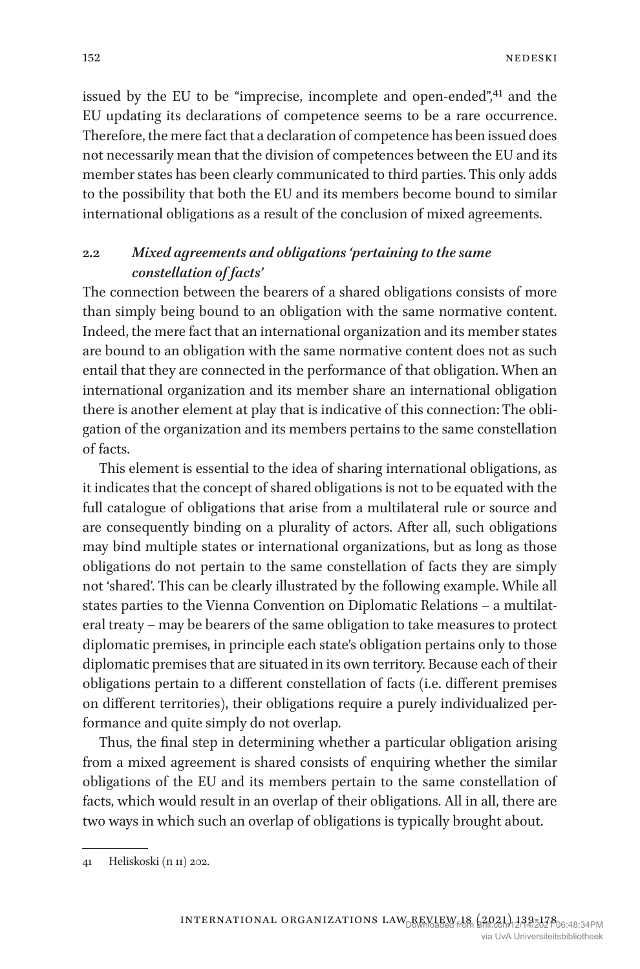issued by the EU to be "imprecise, incomplete and open-ended",<sup>41</sup> and the EU updating its declarations of competence seems to be a rare occurrence. Therefore, the mere fact that a declaration of competence has been issued does not necessarily mean that the division of competences between the EU and its member states has been clearly communicated to third parties. This only adds to the possibility that both the EU and its members become bound to similar international obligations as a result of the conclusion of mixed agreements.

## **2.2** *Mixed agreements and obligations 'pertaining to the same constellation of facts'*

The connection between the bearers of a shared obligations consists of more than simply being bound to an obligation with the same normative content. Indeed, the mere fact that an international organization and its member states are bound to an obligation with the same normative content does not as such entail that they are connected in the performance of that obligation. When an international organization and its member share an international obligation there is another element at play that is indicative of this connection: The obligation of the organization and its members pertains to the same constellation of facts.

This element is essential to the idea of sharing international obligations, as it indicates that the concept of shared obligations is not to be equated with the full catalogue of obligations that arise from a multilateral rule or source and are consequently binding on a plurality of actors. After all, such obligations may bind multiple states or international organizations, but as long as those obligations do not pertain to the same constellation of facts they are simply not 'shared'. This can be clearly illustrated by the following example. While all states parties to the Vienna Convention on Diplomatic Relations – a multilateral treaty – may be bearers of the same obligation to take measures to protect diplomatic premises, in principle each state's obligation pertains only to those diplomatic premises that are situated in its own territory. Because each of their obligations pertain to a different constellation of facts (i.e. different premises on different territories), their obligations require a purely individualized performance and quite simply do not overlap.

Thus, the final step in determining whether a particular obligation arising from a mixed agreement is shared consists of enquiring whether the similar obligations of the EU and its members pertain to the same constellation of facts, which would result in an overlap of their obligations. All in all, there are two ways in which such an overlap of obligations is typically brought about.

<sup>41</sup> Heliskoski (n 11) 202.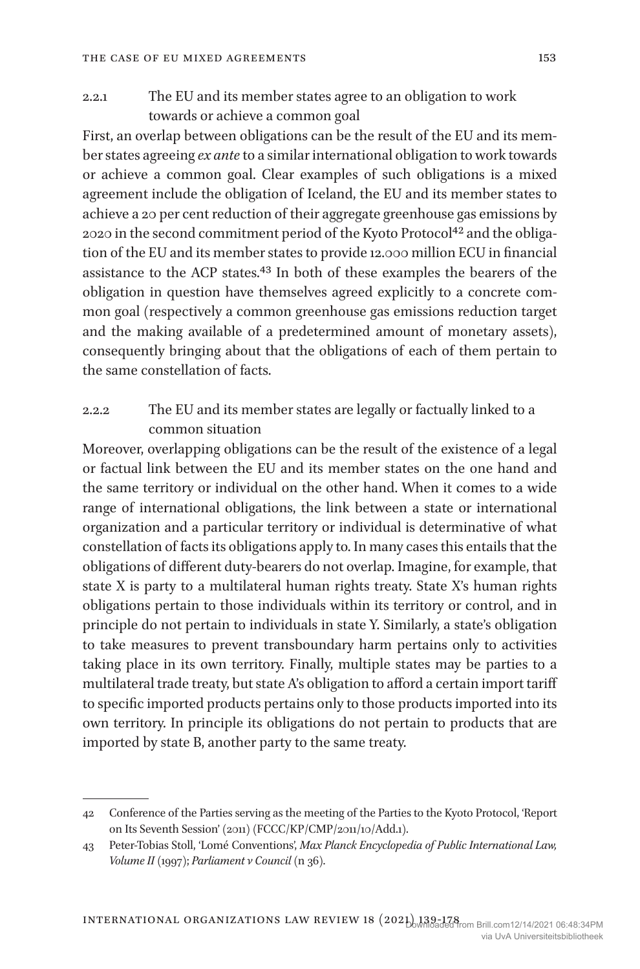## 2.2.1 The EU and its member states agree to an obligation to work towards or achieve a common goal

First, an overlap between obligations can be the result of the EU and its member states agreeing *ex ante* to a similar international obligation to work towards or achieve a common goal. Clear examples of such obligations is a mixed agreement include the obligation of Iceland, the EU and its member states to achieve a 20 per cent reduction of their aggregate greenhouse gas emissions by 2020 in the second commitment period of the Kyoto Protocol<sup>42</sup> and the obligation of the EU and its member states to provide 12.000 million ECU in financial assistance to the ACP states.43 In both of these examples the bearers of the obligation in question have themselves agreed explicitly to a concrete common goal (respectively a common greenhouse gas emissions reduction target and the making available of a predetermined amount of monetary assets), consequently bringing about that the obligations of each of them pertain to the same constellation of facts.

## 2.2.2 The EU and its member states are legally or factually linked to a common situation

Moreover, overlapping obligations can be the result of the existence of a legal or factual link between the EU and its member states on the one hand and the same territory or individual on the other hand. When it comes to a wide range of international obligations, the link between a state or international organization and a particular territory or individual is determinative of what constellation of facts its obligations apply to. In many cases this entails that the obligations of different duty-bearers do not overlap. Imagine, for example, that state X is party to a multilateral human rights treaty. State X's human rights obligations pertain to those individuals within its territory or control, and in principle do not pertain to individuals in state Y. Similarly, a state's obligation to take measures to prevent transboundary harm pertains only to activities taking place in its own territory. Finally, multiple states may be parties to a multilateral trade treaty, but state A's obligation to afford a certain import tariff to specific imported products pertains only to those products imported into its own territory. In principle its obligations do not pertain to products that are imported by state B, another party to the same treaty.

<sup>42</sup> Conference of the Parties serving as the meeting of the Parties to the Kyoto Protocol, 'Report on Its Seventh Session' (2011) (FCCC/KP/CMP/2011/10/Add.1).

<sup>43</sup> Peter-Tobias Stoll, 'Lomé Conventions', *Max Planck Encyclopedia of Public International Law, Volume II* (1997); *Parliament v Council* (n 36).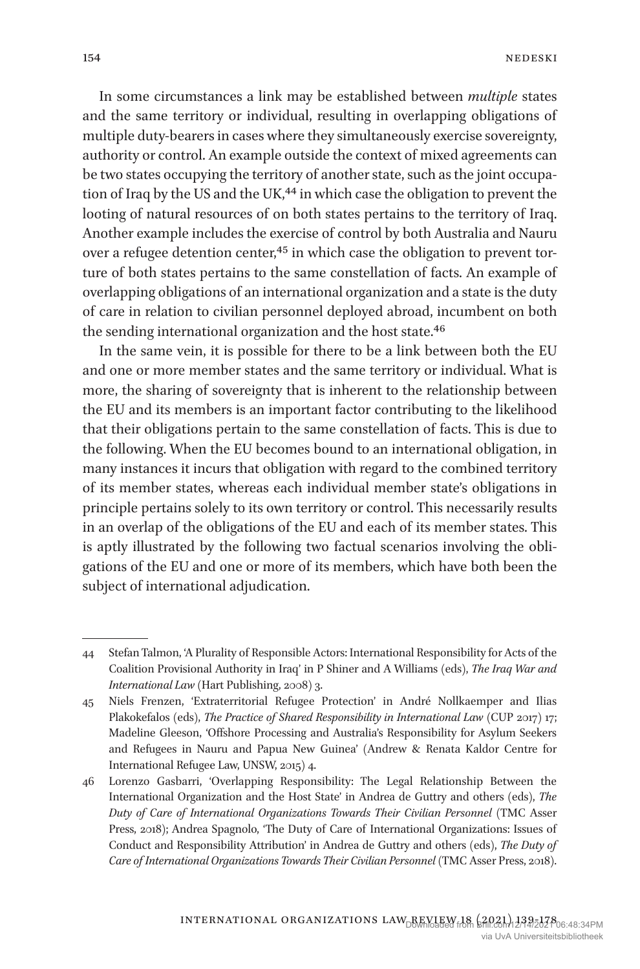In some circumstances a link may be established between *multiple* states and the same territory or individual, resulting in overlapping obligations of multiple duty-bearers in cases where they simultaneously exercise sovereignty, authority or control. An example outside the context of mixed agreements can be two states occupying the territory of another state, such as the joint occupation of Iraq by the US and the UK,<sup>44</sup> in which case the obligation to prevent the looting of natural resources of on both states pertains to the territory of Iraq. Another example includes the exercise of control by both Australia and Nauru over a refugee detention center,<sup>45</sup> in which case the obligation to prevent torture of both states pertains to the same constellation of facts. An example of overlapping obligations of an international organization and a state is the duty of care in relation to civilian personnel deployed abroad, incumbent on both the sending international organization and the host state.<sup>46</sup>

In the same vein, it is possible for there to be a link between both the EU and one or more member states and the same territory or individual. What is more, the sharing of sovereignty that is inherent to the relationship between the EU and its members is an important factor contributing to the likelihood that their obligations pertain to the same constellation of facts. This is due to the following. When the EU becomes bound to an international obligation, in many instances it incurs that obligation with regard to the combined territory of its member states, whereas each individual member state's obligations in principle pertains solely to its own territory or control. This necessarily results in an overlap of the obligations of the EU and each of its member states. This is aptly illustrated by the following two factual scenarios involving the obligations of the EU and one or more of its members, which have both been the subject of international adjudication.

<sup>44</sup> Stefan Talmon, 'A Plurality of Responsible Actors: International Responsibility for Acts of the Coalition Provisional Authority in Iraq' in P Shiner and A Williams (eds), *The Iraq War and International Law* (Hart Publishing, 2008) 3.

<sup>45</sup> Niels Frenzen, 'Extraterritorial Refugee Protection' in André Nollkaemper and Ilias Plakokefalos (eds), *The Practice of Shared Responsibility in International Law* (CUP 2017) 17; Madeline Gleeson, 'Offshore Processing and Australia's Responsibility for Asylum Seekers and Refugees in Nauru and Papua New Guinea' (Andrew & Renata Kaldor Centre for International Refugee Law, UNSW, 2015) 4.

<sup>46</sup> Lorenzo Gasbarri, 'Overlapping Responsibility: The Legal Relationship Between the International Organization and the Host State' in Andrea de Guttry and others (eds), *The Duty of Care of International Organizations Towards Their Civilian Personnel* (TMC Asser Press, 2018); Andrea Spagnolo, 'The Duty of Care of International Organizations: Issues of Conduct and Responsibility Attribution' in Andrea de Guttry and others (eds), *The Duty of Care of International Organizations Towards Their Civilian Personnel* (TMC Asser Press, 2018).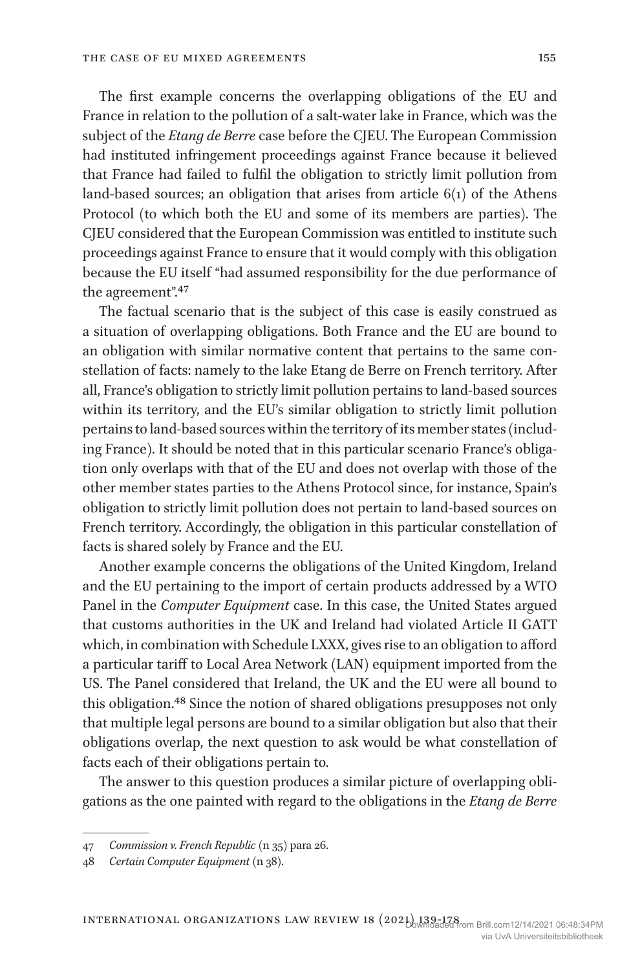The first example concerns the overlapping obligations of the EU and France in relation to the pollution of a salt-water lake in France, which was the subject of the *Etang de Berre* case before the CJEU. The European Commission had instituted infringement proceedings against France because it believed that France had failed to fulfil the obligation to strictly limit pollution from land-based sources; an obligation that arises from article 6(1) of the Athens Protocol (to which both the EU and some of its members are parties). The CJEU considered that the European Commission was entitled to institute such proceedings against France to ensure that it would comply with this obligation because the EU itself "had assumed responsibility for the due performance of the agreement".47

The factual scenario that is the subject of this case is easily construed as a situation of overlapping obligations. Both France and the EU are bound to an obligation with similar normative content that pertains to the same constellation of facts: namely to the lake Etang de Berre on French territory. After all, France's obligation to strictly limit pollution pertains to land-based sources within its territory, and the EU's similar obligation to strictly limit pollution pertains to land-based sources within the territory of its member states (including France). It should be noted that in this particular scenario France's obligation only overlaps with that of the EU and does not overlap with those of the other member states parties to the Athens Protocol since, for instance, Spain's obligation to strictly limit pollution does not pertain to land-based sources on French territory. Accordingly, the obligation in this particular constellation of facts is shared solely by France and the EU.

Another example concerns the obligations of the United Kingdom, Ireland and the EU pertaining to the import of certain products addressed by a WTO Panel in the *Computer Equipment* case. In this case, the United States argued that customs authorities in the UK and Ireland had violated Article II GATT which, in combination with Schedule LXXX, gives rise to an obligation to afford a particular tariff to Local Area Network (LAN) equipment imported from the US. The Panel considered that Ireland, the UK and the EU were all bound to this obligation.48 Since the notion of shared obligations presupposes not only that multiple legal persons are bound to a similar obligation but also that their obligations overlap, the next question to ask would be what constellation of facts each of their obligations pertain to.

The answer to this question produces a similar picture of overlapping obligations as the one painted with regard to the obligations in the *Etang de Berre*

<sup>47</sup> *Commission v. French Republic* (n 35) para 26.

<sup>48</sup> *Certain Computer Equipment* (n 38).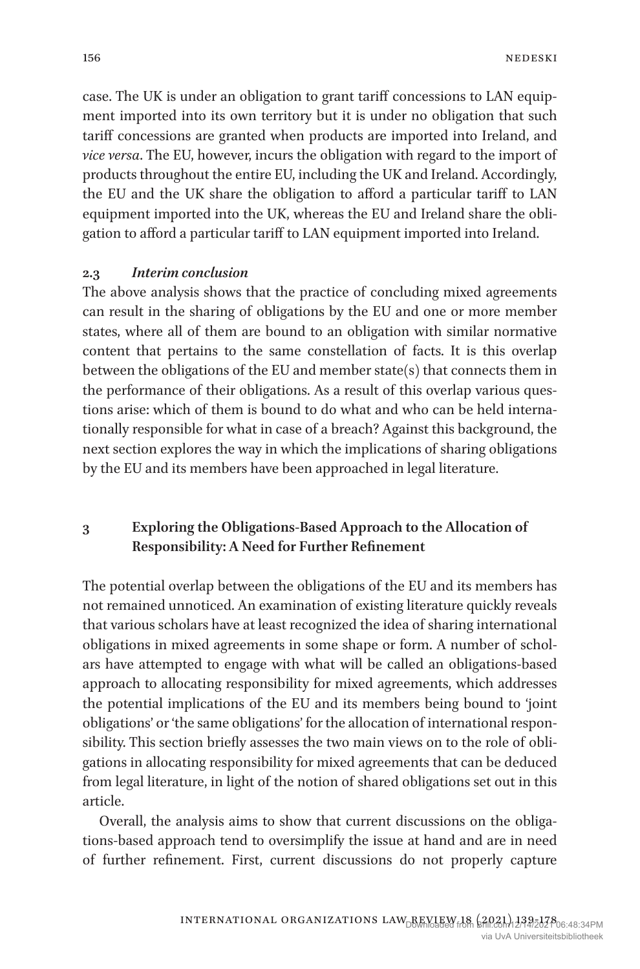case. The UK is under an obligation to grant tariff concessions to LAN equipment imported into its own territory but it is under no obligation that such tariff concessions are granted when products are imported into Ireland, and *vice versa*. The EU, however, incurs the obligation with regard to the import of products throughout the entire EU, including the UK and Ireland. Accordingly, the EU and the UK share the obligation to afford a particular tariff to LAN equipment imported into the UK, whereas the EU and Ireland share the obligation to afford a particular tariff to LAN equipment imported into Ireland.

#### **2.3** *Interim conclusion*

The above analysis shows that the practice of concluding mixed agreements can result in the sharing of obligations by the EU and one or more member states, where all of them are bound to an obligation with similar normative content that pertains to the same constellation of facts. It is this overlap between the obligations of the EU and member state(s) that connects them in the performance of their obligations. As a result of this overlap various questions arise: which of them is bound to do what and who can be held internationally responsible for what in case of a breach? Against this background, the next section explores the way in which the implications of sharing obligations by the EU and its members have been approached in legal literature.

## **3 Exploring the Obligations-Based Approach to the Allocation of Responsibility: A Need for Further Refinement**

The potential overlap between the obligations of the EU and its members has not remained unnoticed. An examination of existing literature quickly reveals that various scholars have at least recognized the idea of sharing international obligations in mixed agreements in some shape or form. A number of scholars have attempted to engage with what will be called an obligations-based approach to allocating responsibility for mixed agreements, which addresses the potential implications of the EU and its members being bound to 'joint obligations' or 'the same obligations' for the allocation of international responsibility. This section briefly assesses the two main views on to the role of obligations in allocating responsibility for mixed agreements that can be deduced from legal literature, in light of the notion of shared obligations set out in this article.

Overall, the analysis aims to show that current discussions on the obligations-based approach tend to oversimplify the issue at hand and are in need of further refinement. First, current discussions do not properly capture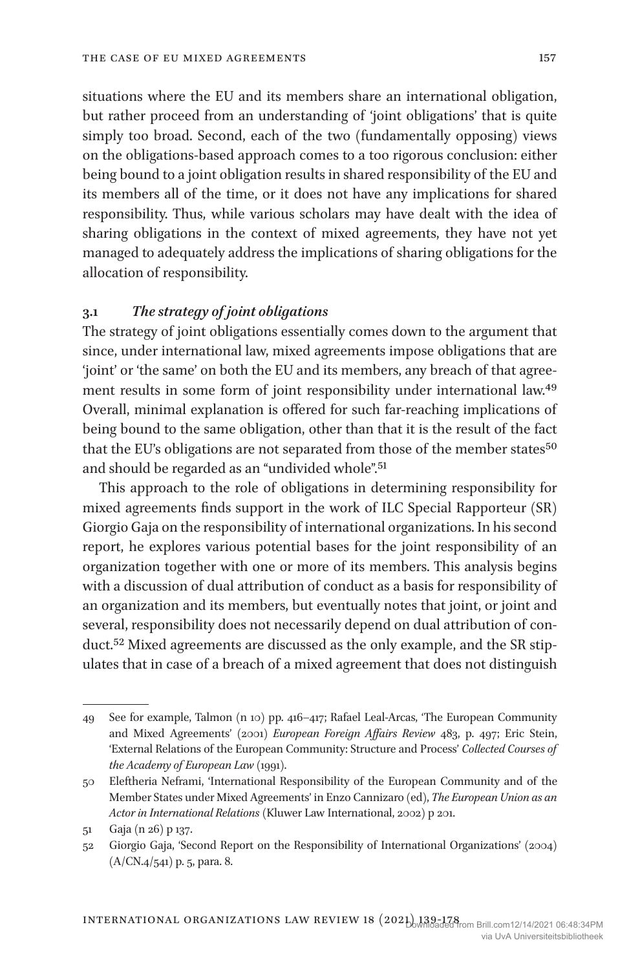situations where the EU and its members share an international obligation, but rather proceed from an understanding of 'joint obligations' that is quite simply too broad. Second, each of the two (fundamentally opposing) views on the obligations-based approach comes to a too rigorous conclusion: either being bound to a joint obligation results in shared responsibility of the EU and its members all of the time, or it does not have any implications for shared responsibility. Thus, while various scholars may have dealt with the idea of sharing obligations in the context of mixed agreements, they have not yet managed to adequately address the implications of sharing obligations for the allocation of responsibility.

#### **3.1** *The strategy of joint obligations*

The strategy of joint obligations essentially comes down to the argument that since, under international law, mixed agreements impose obligations that are 'joint' or 'the same' on both the EU and its members, any breach of that agreement results in some form of joint responsibility under international law.49 Overall, minimal explanation is offered for such far-reaching implications of being bound to the same obligation, other than that it is the result of the fact that the EU's obligations are not separated from those of the member states<sup>50</sup> and should be regarded as an "undivided whole".<sup>51</sup>

This approach to the role of obligations in determining responsibility for mixed agreements finds support in the work of ILC Special Rapporteur (SR) Giorgio Gaja on the responsibility of international organizations. In his second report, he explores various potential bases for the joint responsibility of an organization together with one or more of its members. This analysis begins with a discussion of dual attribution of conduct as a basis for responsibility of an organization and its members, but eventually notes that joint, or joint and several, responsibility does not necessarily depend on dual attribution of conduct.<sup>52</sup> Mixed agreements are discussed as the only example, and the SR stipulates that in case of a breach of a mixed agreement that does not distinguish

<sup>49</sup> See for example, Talmon (n 10) pp. 416–417; Rafael Leal-Arcas, 'The European Community and Mixed Agreements' (2001) *European Foreign Affairs Review* 483, p. 497; Eric Stein, 'External Relations of the European Community: Structure and Process' *Collected Courses of the Academy of European Law* (1991).

<sup>50</sup> Eleftheria Neframi, 'International Responsibility of the European Community and of the Member States under Mixed Agreements' in Enzo Cannizaro (ed), *The European Union as an Actor in International Relations* (Kluwer Law International, 2002) p 201.

<sup>51</sup> Gaja (n 26) p 137.

<sup>52</sup> Giorgio Gaja, 'Second Report on the Responsibility of International Organizations' (2004) (A/CN.4/541) p. 5, para. 8.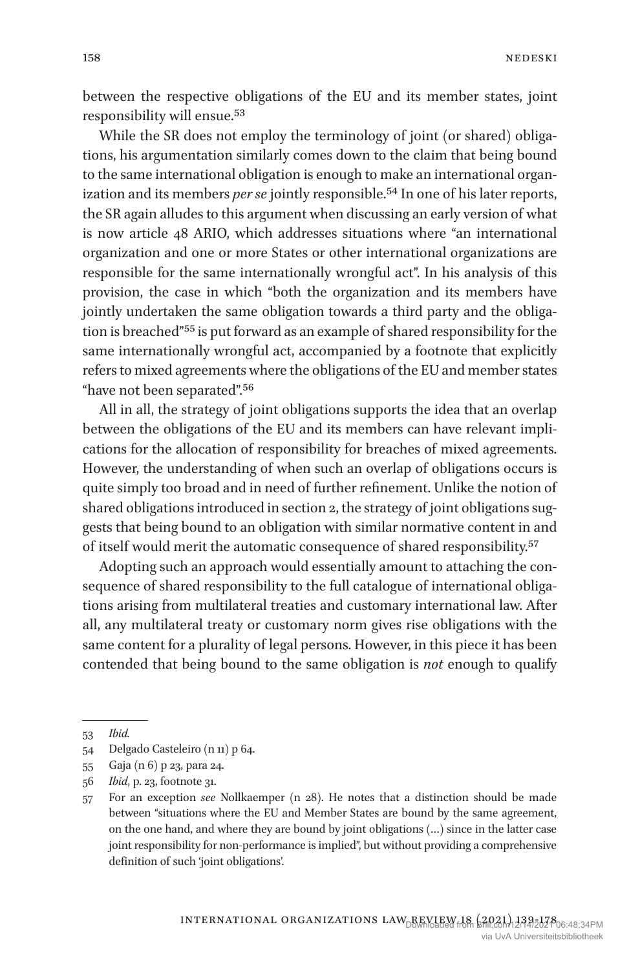between the respective obligations of the EU and its member states, joint responsibility will ensue.53

While the SR does not employ the terminology of joint (or shared) obligations, his argumentation similarly comes down to the claim that being bound to the same international obligation is enough to make an international organization and its members *per se* jointly responsible.<sup>54</sup> In one of his later reports, the SR again alludes to this argument when discussing an early version of what is now article 48 ARIO, which addresses situations where "an international organization and one or more States or other international organizations are responsible for the same internationally wrongful act". In his analysis of this provision, the case in which "both the organization and its members have jointly undertaken the same obligation towards a third party and the obligation is breached"55 is put forward as an example of shared responsibility for the same internationally wrongful act, accompanied by a footnote that explicitly refers to mixed agreements where the obligations of the EU and member states "have not been separated".56

All in all, the strategy of joint obligations supports the idea that an overlap between the obligations of the EU and its members can have relevant implications for the allocation of responsibility for breaches of mixed agreements. However, the understanding of when such an overlap of obligations occurs is quite simply too broad and in need of further refinement. Unlike the notion of shared obligations introduced in section 2, the strategy of joint obligations suggests that being bound to an obligation with similar normative content in and of itself would merit the automatic consequence of shared responsibility.57

Adopting such an approach would essentially amount to attaching the consequence of shared responsibility to the full catalogue of international obligations arising from multilateral treaties and customary international law. After all, any multilateral treaty or customary norm gives rise obligations with the same content for a plurality of legal persons. However, in this piece it has been contended that being bound to the same obligation is *not* enough to qualify

<sup>53</sup> *Ibid.*

<sup>54</sup> Delgado Casteleiro (n 11) p 64.

<sup>55</sup> Gaja (n 6) p 23, para 24.

<sup>56</sup> *Ibid*, p. 23, footnote 31.

<sup>57</sup> For an exception *see* Nollkaemper (n 28). He notes that a distinction should be made between "situations where the EU and Member States are bound by the same agreement, on the one hand, and where they are bound by joint obligations (…) since in the latter case joint responsibility for non-performance is implied", but without providing a comprehensive definition of such 'joint obligations'.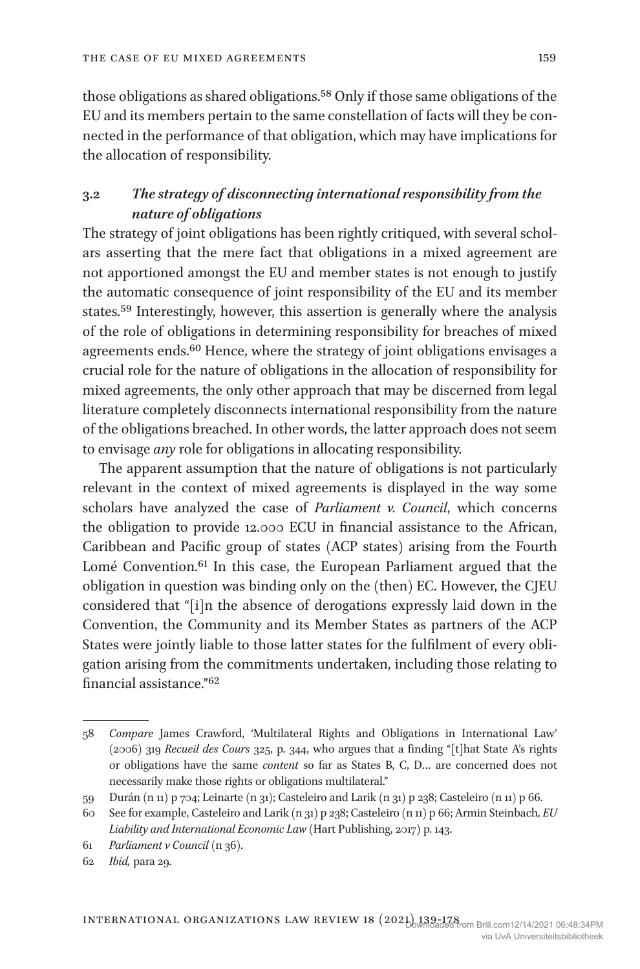those obligations as shared obligations.<sup>58</sup> Only if those same obligations of the EU and its members pertain to the same constellation of facts will they be connected in the performance of that obligation, which may have implications for the allocation of responsibility.

## **3.2** *The strategy of disconnecting international responsibility from the nature of obligations*

The strategy of joint obligations has been rightly critiqued, with several scholars asserting that the mere fact that obligations in a mixed agreement are not apportioned amongst the EU and member states is not enough to justify the automatic consequence of joint responsibility of the EU and its member states.59 Interestingly, however, this assertion is generally where the analysis of the role of obligations in determining responsibility for breaches of mixed agreements ends.60 Hence, where the strategy of joint obligations envisages a crucial role for the nature of obligations in the allocation of responsibility for mixed agreements, the only other approach that may be discerned from legal literature completely disconnects international responsibility from the nature of the obligations breached. In other words, the latter approach does not seem to envisage *any* role for obligations in allocating responsibility.

The apparent assumption that the nature of obligations is not particularly relevant in the context of mixed agreements is displayed in the way some scholars have analyzed the case of *Parliament v. Council*, which concerns the obligation to provide 12.000 ECU in financial assistance to the African, Caribbean and Pacific group of states (ACP states) arising from the Fourth Lomé Convention.<sup>61</sup> In this case, the European Parliament argued that the obligation in question was binding only on the (then) EC. However, the CJEU considered that "[i]n the absence of derogations expressly laid down in the Convention, the Community and its Member States as partners of the ACP States were jointly liable to those latter states for the fulfilment of every obligation arising from the commitments undertaken, including those relating to financial assistance."62

<sup>58</sup> *Compare* James Crawford, 'Multilateral Rights and Obligations in International Law' (2006) 319 *Recueil des Cours* 325, p. 344, who argues that a finding "[t]hat State A's rights or obligations have the same *content* so far as States B, C, D… are concerned does not necessarily make those rights or obligations multilateral."

<sup>59</sup> Durán (n 11) p 704; Leinarte (n 31); Casteleiro and Larik (n 31) p 238; Casteleiro (n 11) p 66.

<sup>60</sup> See for example, Casteleiro and Larik (n 31) p 238; Casteleiro (n 11) p 66; Armin Steinbach, *EU Liability and International Economic Law* (Hart Publishing, 2017) p. 143.

<sup>61</sup> *Parliament v Council* (n 36).

<sup>62</sup> *Ibid,* para 29.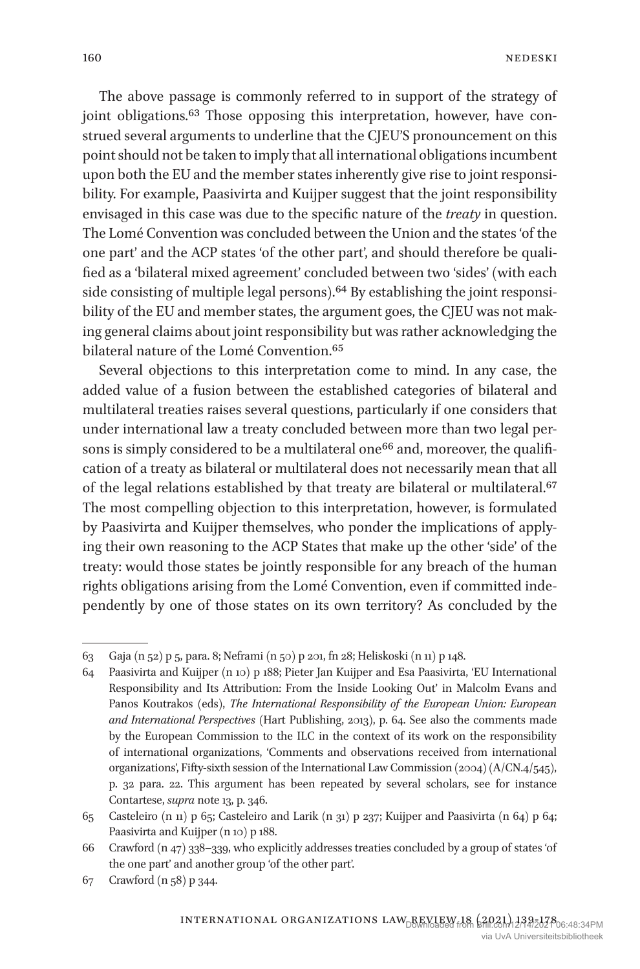The above passage is commonly referred to in support of the strategy of joint obligations.<sup>63</sup> Those opposing this interpretation, however, have construed several arguments to underline that the CJEU'S pronouncement on this point should not be taken to imply that all international obligations incumbent upon both the EU and the member states inherently give rise to joint responsibility. For example, Paasivirta and Kuijper suggest that the joint responsibility envisaged in this case was due to the specific nature of the *treaty* in question. The Lomé Convention was concluded between the Union and the states 'of the one part' and the ACP states 'of the other part', and should therefore be qualified as a 'bilateral mixed agreement' concluded between two 'sides' (with each side consisting of multiple legal persons).<sup>64</sup> By establishing the joint responsibility of the EU and member states, the argument goes, the CJEU was not making general claims about joint responsibility but was rather acknowledging the bilateral nature of the Lomé Convention.65

Several objections to this interpretation come to mind. In any case, the added value of a fusion between the established categories of bilateral and multilateral treaties raises several questions, particularly if one considers that under international law a treaty concluded between more than two legal persons is simply considered to be a multilateral one<sup>66</sup> and, moreover, the qualification of a treaty as bilateral or multilateral does not necessarily mean that all of the legal relations established by that treaty are bilateral or multilateral.<sup>67</sup> The most compelling objection to this interpretation, however, is formulated by Paasivirta and Kuijper themselves, who ponder the implications of applying their own reasoning to the ACP States that make up the other 'side' of the treaty: would those states be jointly responsible for any breach of the human rights obligations arising from the Lomé Convention, even if committed independently by one of those states on its own territory? As concluded by the

<sup>63</sup> Gaja (n 52) p 5, para. 8; Neframi (n 50) p 201, fn 28; Heliskoski (n 11) p 148.

<sup>64</sup> Paasivirta and Kuijper (n 10) p 188; Pieter Jan Kuijper and Esa Paasivirta, 'EU International Responsibility and Its Attribution: From the Inside Looking Out' in Malcolm Evans and Panos Koutrakos (eds), *The International Responsibility of the European Union: European and International Perspectives* (Hart Publishing, 2013), p. 64. See also the comments made by the European Commission to the ILC in the context of its work on the responsibility of international organizations, 'Comments and observations received from international organizations', Fifty-sixth session of the International Law Commission (2004) (A/CN.4/545), p. 32 para. 22. This argument has been repeated by several scholars, see for instance Contartese, *supra* note 13, p. 346.

<sup>65</sup> Casteleiro (n 11) p 65; Casteleiro and Larik (n 31) p 237; Kuijper and Paasivirta (n 64) p 64; Paasivirta and Kuijper (n 10) p 188.

<sup>66</sup> Crawford (n 47) 338–339, who explicitly addresses treaties concluded by a group of states 'of the one part' and another group 'of the other part'.

<sup>67</sup> Crawford (n 58) p 344.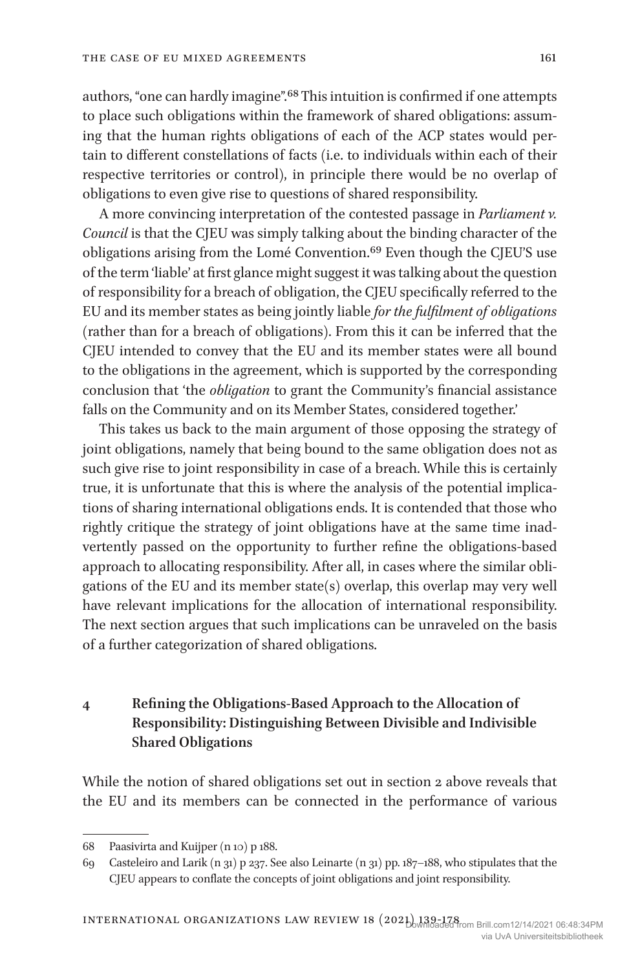authors, "one can hardly imagine".68 This intuition is confirmed if one attempts to place such obligations within the framework of shared obligations: assuming that the human rights obligations of each of the ACP states would pertain to different constellations of facts (i.e. to individuals within each of their respective territories or control), in principle there would be no overlap of obligations to even give rise to questions of shared responsibility.

A more convincing interpretation of the contested passage in *Parliament v. Council* is that the CJEU was simply talking about the binding character of the obligations arising from the Lomé Convention.69 Even though the CJEU'S use of the term 'liable' at first glance might suggest it was talking about the question of responsibility for a breach of obligation, the CJEU specifically referred to the EU and its member states as being jointly liable *for the fulfilment of obligations* (rather than for a breach of obligations). From this it can be inferred that the CJEU intended to convey that the EU and its member states were all bound to the obligations in the agreement, which is supported by the corresponding conclusion that 'the *obligation* to grant the Community's financial assistance falls on the Community and on its Member States, considered together.'

This takes us back to the main argument of those opposing the strategy of joint obligations, namely that being bound to the same obligation does not as such give rise to joint responsibility in case of a breach. While this is certainly true, it is unfortunate that this is where the analysis of the potential implications of sharing international obligations ends. It is contended that those who rightly critique the strategy of joint obligations have at the same time inadvertently passed on the opportunity to further refine the obligations-based approach to allocating responsibility. After all, in cases where the similar obligations of the EU and its member state(s) overlap, this overlap may very well have relevant implications for the allocation of international responsibility. The next section argues that such implications can be unraveled on the basis of a further categorization of shared obligations.

## **4 Refining the Obligations-Based Approach to the Allocation of Responsibility: Distinguishing Between Divisible and Indivisible Shared Obligations**

While the notion of shared obligations set out in section 2 above reveals that the EU and its members can be connected in the performance of various

<sup>68</sup> Paasivirta and Kuijper (n 10) p 188.

<sup>69</sup> Casteleiro and Larik (n 31) p 237. See also Leinarte (n 31) pp. 187–188, who stipulates that the CJEU appears to conflate the concepts of joint obligations and joint responsibility.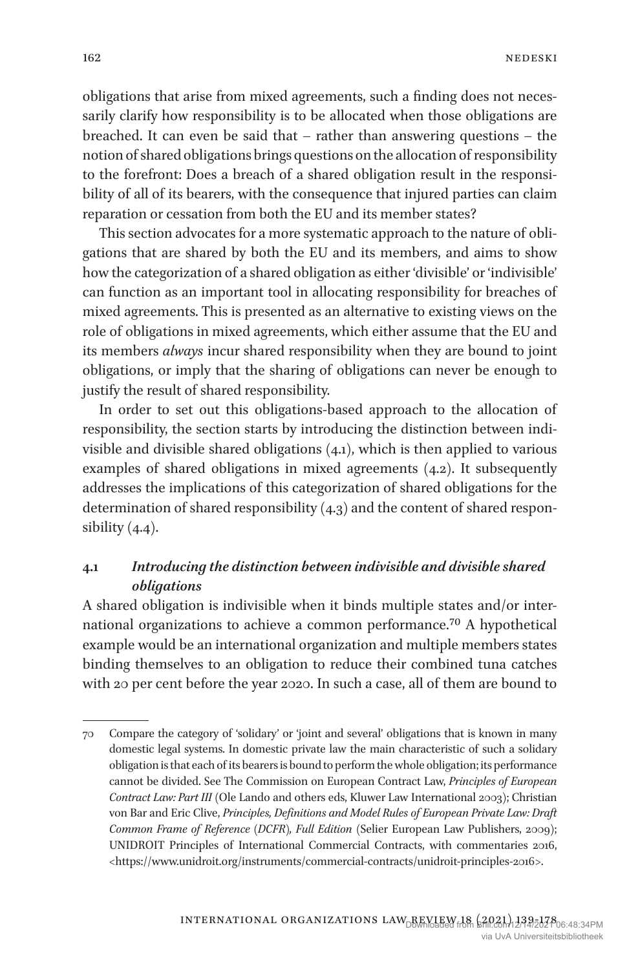obligations that arise from mixed agreements, such a finding does not necessarily clarify how responsibility is to be allocated when those obligations are breached. It can even be said that – rather than answering questions – the notion of shared obligations brings questions on the allocation of responsibility to the forefront: Does a breach of a shared obligation result in the responsibility of all of its bearers, with the consequence that injured parties can claim reparation or cessation from both the EU and its member states?

This section advocates for a more systematic approach to the nature of obligations that are shared by both the EU and its members, and aims to show how the categorization of a shared obligation as either 'divisible' or 'indivisible' can function as an important tool in allocating responsibility for breaches of mixed agreements. This is presented as an alternative to existing views on the role of obligations in mixed agreements, which either assume that the EU and its members *always* incur shared responsibility when they are bound to joint obligations, or imply that the sharing of obligations can never be enough to justify the result of shared responsibility.

In order to set out this obligations-based approach to the allocation of responsibility, the section starts by introducing the distinction between indivisible and divisible shared obligations (4.1), which is then applied to various examples of shared obligations in mixed agreements (4.2). It subsequently addresses the implications of this categorization of shared obligations for the determination of shared responsibility (4.3) and the content of shared responsibility  $(4.4)$ .

## **4.1** *Introducing the distinction between indivisible and divisible shared obligations*

A shared obligation is indivisible when it binds multiple states and/or international organizations to achieve a common performance.70 A hypothetical example would be an international organization and multiple members states binding themselves to an obligation to reduce their combined tuna catches with 20 per cent before the year 2020. In such a case, all of them are bound to

<sup>70</sup> Compare the category of 'solidary' or 'joint and several' obligations that is known in many domestic legal systems. In domestic private law the main characteristic of such a solidary obligation is that each of its bearers is bound to perform the whole obligation; its performance cannot be divided. See The Commission on European Contract Law, *Principles of European Contract Law: Part III* (Ole Lando and others eds, Kluwer Law International 2003); Christian von Bar and Eric Clive, *Principles, Definitions and Model Rules of European Private Law: Draft Common Frame of Reference (DCFR), Full Edition* (Selier European Law Publishers, 2009); UNIDROIT Principles of International Commercial Contracts, with commentaries 2016, <https://www.unidroit.org/instruments/commercial-contracts/unidroit-principles-2016>.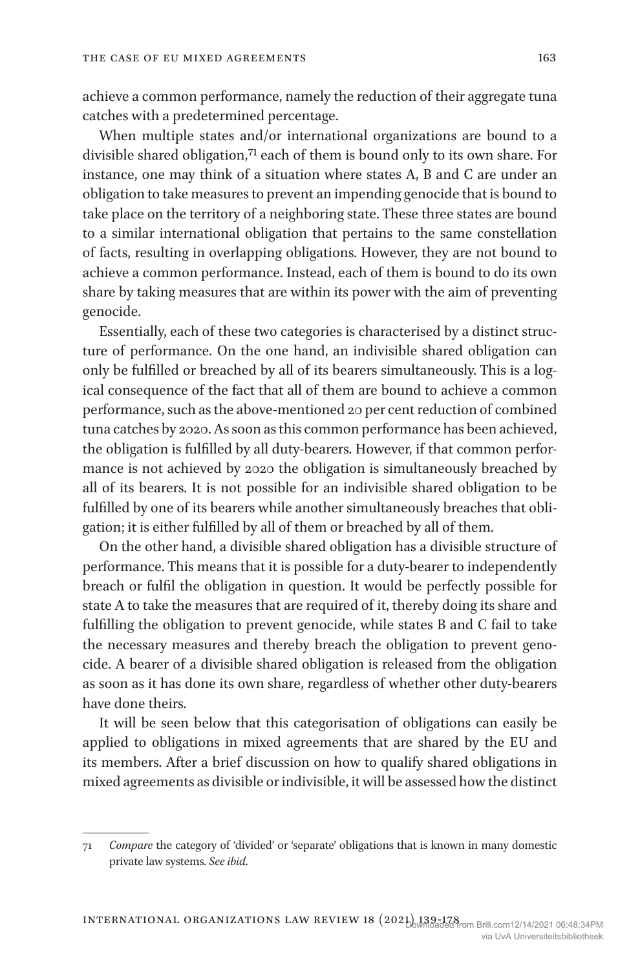achieve a common performance, namely the reduction of their aggregate tuna catches with a predetermined percentage.

When multiple states and/or international organizations are bound to a divisible shared obligation,<sup>71</sup> each of them is bound only to its own share. For instance, one may think of a situation where states A, B and C are under an obligation to take measures to prevent an impending genocide that is bound to take place on the territory of a neighboring state. These three states are bound to a similar international obligation that pertains to the same constellation of facts, resulting in overlapping obligations. However, they are not bound to achieve a common performance. Instead, each of them is bound to do its own share by taking measures that are within its power with the aim of preventing genocide.

Essentially, each of these two categories is characterised by a distinct structure of performance. On the one hand, an indivisible shared obligation can only be fulfilled or breached by all of its bearers simultaneously. This is a logical consequence of the fact that all of them are bound to achieve a common performance, such as the above-mentioned 20 per cent reduction of combined tuna catches by 2020. As soon as this common performance has been achieved, the obligation is fulfilled by all duty-bearers. However, if that common performance is not achieved by 2020 the obligation is simultaneously breached by all of its bearers. It is not possible for an indivisible shared obligation to be fulfilled by one of its bearers while another simultaneously breaches that obligation; it is either fulfilled by all of them or breached by all of them.

On the other hand, a divisible shared obligation has a divisible structure of performance. This means that it is possible for a duty-bearer to independently breach or fulfil the obligation in question. It would be perfectly possible for state A to take the measures that are required of it, thereby doing its share and fulfilling the obligation to prevent genocide, while states B and C fail to take the necessary measures and thereby breach the obligation to prevent genocide. A bearer of a divisible shared obligation is released from the obligation as soon as it has done its own share, regardless of whether other duty-bearers have done theirs.

It will be seen below that this categorisation of obligations can easily be applied to obligations in mixed agreements that are shared by the EU and its members. After a brief discussion on how to qualify shared obligations in mixed agreements as divisible or indivisible, it will be assessed how the distinct

<sup>71</sup> *Compare* the category of 'divided' or 'separate' obligations that is known in many domestic private law systems. *See ibid*.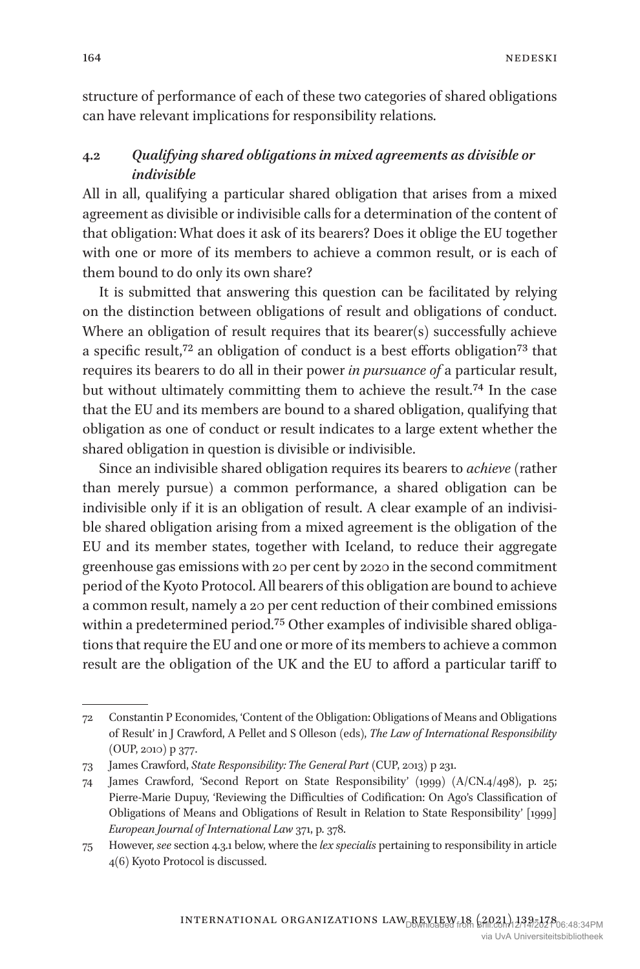structure of performance of each of these two categories of shared obligations can have relevant implications for responsibility relations.

## **4.2** *Qualifying shared obligations in mixed agreements as divisible or indivisible*

All in all, qualifying a particular shared obligation that arises from a mixed agreement as divisible or indivisible calls for a determination of the content of that obligation: What does it ask of its bearers? Does it oblige the EU together with one or more of its members to achieve a common result, or is each of them bound to do only its own share?

It is submitted that answering this question can be facilitated by relying on the distinction between obligations of result and obligations of conduct. Where an obligation of result requires that its bearer(s) successfully achieve a specific result,72 an obligation of conduct is a best efforts obligation73 that requires its bearers to do all in their power *in pursuance of* a particular result, but without ultimately committing them to achieve the result.<sup>74</sup> In the case that the EU and its members are bound to a shared obligation, qualifying that obligation as one of conduct or result indicates to a large extent whether the shared obligation in question is divisible or indivisible.

Since an indivisible shared obligation requires its bearers to *achieve* (rather than merely pursue) a common performance, a shared obligation can be indivisible only if it is an obligation of result. A clear example of an indivisible shared obligation arising from a mixed agreement is the obligation of the EU and its member states, together with Iceland, to reduce their aggregate greenhouse gas emissions with 20 per cent by 2020 in the second commitment period of the Kyoto Protocol. All bearers of this obligation are bound to achieve a common result, namely a 20 per cent reduction of their combined emissions within a predetermined period.75 Other examples of indivisible shared obligations that require the EU and one or more of its members to achieve a common result are the obligation of the UK and the EU to afford a particular tariff to

<sup>72</sup> Constantin P Economides, 'Content of the Obligation: Obligations of Means and Obligations of Result' in J Crawford, A Pellet and S Olleson (eds), *The Law of International Responsibility* (OUP, 2010) p 377.

<sup>73</sup> James Crawford, *State Responsibility: The General Part* (CUP, 2013) p 231.

<sup>74</sup> James Crawford, 'Second Report on State Responsibility' (1999) (A/CN.4/498), p. 25; Pierre-Marie Dupuy, 'Reviewing the Difficulties of Codification: On Ago's Classification of Obligations of Means and Obligations of Result in Relation to State Responsibility' [1999] *European Journal of International Law* 371, p. 378.

<sup>75</sup> However, *see* section 4.3.1 below, where the *lex specialis* pertaining to responsibility in article 4(6) Kyoto Protocol is discussed.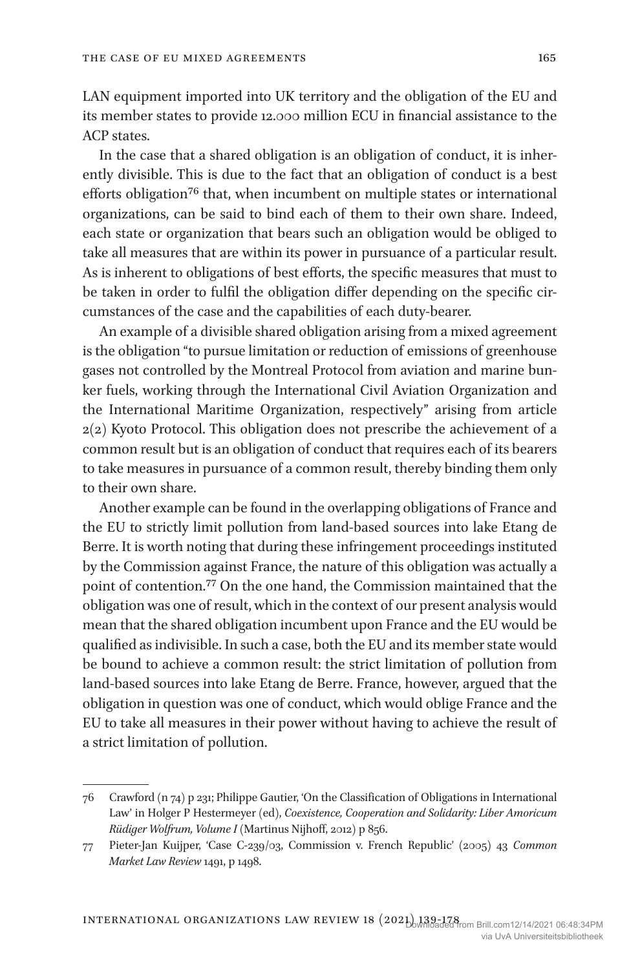LAN equipment imported into UK territory and the obligation of the EU and its member states to provide 12.000 million ECU in financial assistance to the ACP states.

In the case that a shared obligation is an obligation of conduct, it is inherently divisible. This is due to the fact that an obligation of conduct is a best efforts obligation<sup>76</sup> that, when incumbent on multiple states or international organizations, can be said to bind each of them to their own share. Indeed, each state or organization that bears such an obligation would be obliged to take all measures that are within its power in pursuance of a particular result. As is inherent to obligations of best efforts, the specific measures that must to be taken in order to fulfil the obligation differ depending on the specific circumstances of the case and the capabilities of each duty-bearer.

An example of a divisible shared obligation arising from a mixed agreement is the obligation "to pursue limitation or reduction of emissions of greenhouse gases not controlled by the Montreal Protocol from aviation and marine bunker fuels, working through the International Civil Aviation Organization and the International Maritime Organization, respectively" arising from article 2(2) Kyoto Protocol. This obligation does not prescribe the achievement of a common result but is an obligation of conduct that requires each of its bearers to take measures in pursuance of a common result, thereby binding them only to their own share.

Another example can be found in the overlapping obligations of France and the EU to strictly limit pollution from land-based sources into lake Etang de Berre. It is worth noting that during these infringement proceedings instituted by the Commission against France, the nature of this obligation was actually a point of contention.77 On the one hand, the Commission maintained that the obligation was one of result, which in the context of our present analysis would mean that the shared obligation incumbent upon France and the EU would be qualified as indivisible. In such a case, both the EU and its member state would be bound to achieve a common result: the strict limitation of pollution from land-based sources into lake Etang de Berre. France, however, argued that the obligation in question was one of conduct, which would oblige France and the EU to take all measures in their power without having to achieve the result of a strict limitation of pollution.

<sup>76</sup> Crawford (n 74) p 231; Philippe Gautier, 'On the Classification of Obligations in International Law' in Holger P Hestermeyer (ed), *Coexistence, Cooperation and Solidarity: Liber Amoricum Rüdiger Wolfrum, Volume I* (Martinus Nijhoff, 2012) p 856.

<sup>77</sup> Pieter-Jan Kuijper, 'Case C-239/03, Commission v. French Republic' (2005) 43 *Common Market Law Review* 1491, p 1498.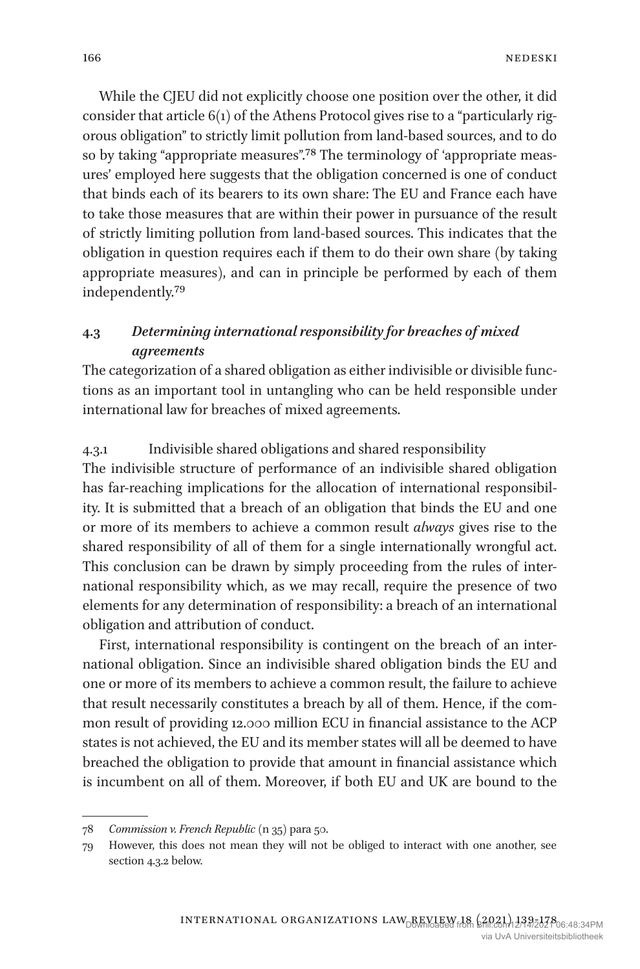While the CJEU did not explicitly choose one position over the other, it did consider that article 6(1) of the Athens Protocol gives rise to a "particularly rigorous obligation" to strictly limit pollution from land-based sources, and to do so by taking "appropriate measures".78 The terminology of 'appropriate measures' employed here suggests that the obligation concerned is one of conduct that binds each of its bearers to its own share: The EU and France each have to take those measures that are within their power in pursuance of the result of strictly limiting pollution from land-based sources. This indicates that the obligation in question requires each if them to do their own share (by taking appropriate measures), and can in principle be performed by each of them independently.79

## **4.3** *Determining international responsibility for breaches of mixed agreements*

The categorization of a shared obligation as either indivisible or divisible functions as an important tool in untangling who can be held responsible under international law for breaches of mixed agreements.

#### 4.3.1 Indivisible shared obligations and shared responsibility

The indivisible structure of performance of an indivisible shared obligation has far-reaching implications for the allocation of international responsibility. It is submitted that a breach of an obligation that binds the EU and one or more of its members to achieve a common result *always* gives rise to the shared responsibility of all of them for a single internationally wrongful act. This conclusion can be drawn by simply proceeding from the rules of international responsibility which, as we may recall, require the presence of two elements for any determination of responsibility: a breach of an international obligation and attribution of conduct.

First, international responsibility is contingent on the breach of an international obligation. Since an indivisible shared obligation binds the EU and one or more of its members to achieve a common result, the failure to achieve that result necessarily constitutes a breach by all of them. Hence, if the common result of providing 12.000 million ECU in financial assistance to the ACP states is not achieved, the EU and its member states will all be deemed to have breached the obligation to provide that amount in financial assistance which is incumbent on all of them. Moreover, if both EU and UK are bound to the

<sup>78</sup> *Commission v. French Republic* (n 35) para 50.

<sup>79</sup> However, this does not mean they will not be obliged to interact with one another, see section 4.3.2 below.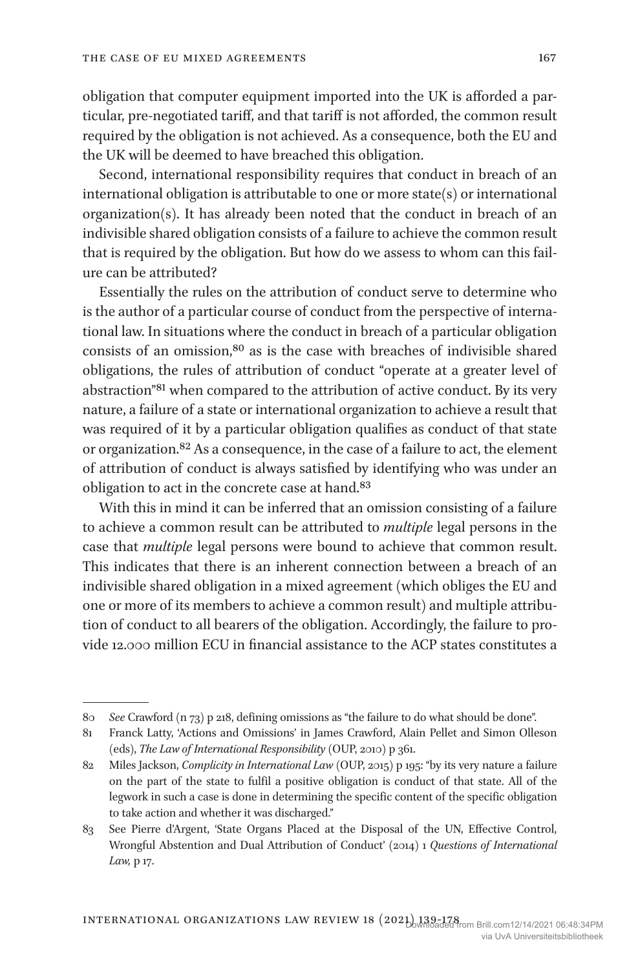obligation that computer equipment imported into the UK is afforded a particular, pre-negotiated tariff, and that tariff is not afforded, the common result required by the obligation is not achieved. As a consequence, both the EU and the UK will be deemed to have breached this obligation.

Second, international responsibility requires that conduct in breach of an international obligation is attributable to one or more state(s) or international organization(s). It has already been noted that the conduct in breach of an indivisible shared obligation consists of a failure to achieve the common result that is required by the obligation. But how do we assess to whom can this failure can be attributed?

Essentially the rules on the attribution of conduct serve to determine who is the author of a particular course of conduct from the perspective of international law. In situations where the conduct in breach of a particular obligation consists of an omission,80 as is the case with breaches of indivisible shared obligations, the rules of attribution of conduct "operate at a greater level of abstraction"81 when compared to the attribution of active conduct. By its very nature, a failure of a state or international organization to achieve a result that was required of it by a particular obligation qualifies as conduct of that state or organization.82 As a consequence, in the case of a failure to act, the element of attribution of conduct is always satisfied by identifying who was under an obligation to act in the concrete case at hand.83

With this in mind it can be inferred that an omission consisting of a failure to achieve a common result can be attributed to *multiple* legal persons in the case that *multiple* legal persons were bound to achieve that common result. This indicates that there is an inherent connection between a breach of an indivisible shared obligation in a mixed agreement (which obliges the EU and one or more of its members to achieve a common result) and multiple attribution of conduct to all bearers of the obligation. Accordingly, the failure to provide 12.000 million ECU in financial assistance to the ACP states constitutes a

<sup>80</sup> *See* Crawford (n 73) p 218, defining omissions as "the failure to do what should be done".

<sup>81</sup> Franck Latty, 'Actions and Omissions' in James Crawford, Alain Pellet and Simon Olleson (eds), *The Law of International Responsibility* (OUP, 2010) p 361.

<sup>82</sup> Miles Jackson, *Complicity in International Law* (OUP, 2015) p 195: "by its very nature a failure on the part of the state to fulfil a positive obligation is conduct of that state. All of the legwork in such a case is done in determining the specific content of the specific obligation to take action and whether it was discharged."

<sup>83</sup> See Pierre d'Argent, 'State Organs Placed at the Disposal of the UN, Effective Control, Wrongful Abstention and Dual Attribution of Conduct' (2014) 1 *Questions of International Law,* p 17.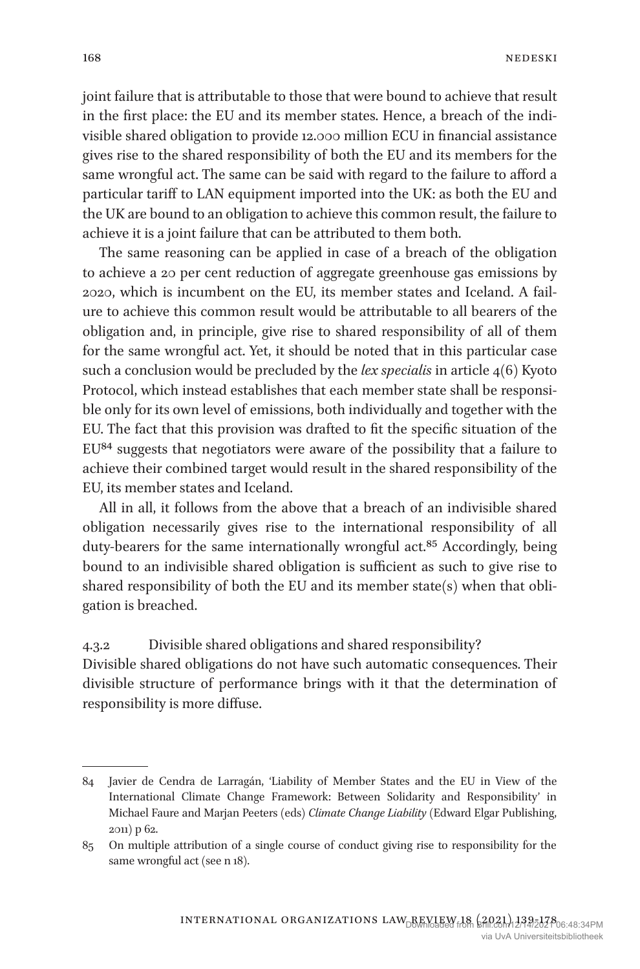joint failure that is attributable to those that were bound to achieve that result in the first place: the EU and its member states. Hence, a breach of the indivisible shared obligation to provide 12.000 million ECU in financial assistance gives rise to the shared responsibility of both the EU and its members for the same wrongful act. The same can be said with regard to the failure to afford a particular tariff to LAN equipment imported into the UK: as both the EU and the UK are bound to an obligation to achieve this common result, the failure to achieve it is a joint failure that can be attributed to them both.

The same reasoning can be applied in case of a breach of the obligation to achieve a 20 per cent reduction of aggregate greenhouse gas emissions by 2020, which is incumbent on the EU, its member states and Iceland. A failure to achieve this common result would be attributable to all bearers of the obligation and, in principle, give rise to shared responsibility of all of them for the same wrongful act. Yet, it should be noted that in this particular case such a conclusion would be precluded by the *lex specialis* in article 4(6) Kyoto Protocol, which instead establishes that each member state shall be responsible only for its own level of emissions, both individually and together with the EU. The fact that this provision was drafted to fit the specific situation of the EU84 suggests that negotiators were aware of the possibility that a failure to achieve their combined target would result in the shared responsibility of the EU, its member states and Iceland.

All in all, it follows from the above that a breach of an indivisible shared obligation necessarily gives rise to the international responsibility of all duty-bearers for the same internationally wrongful act.<sup>85</sup> Accordingly, being bound to an indivisible shared obligation is sufficient as such to give rise to shared responsibility of both the EU and its member state(s) when that obligation is breached.

4.3.2 Divisible shared obligations and shared responsibility?

Divisible shared obligations do not have such automatic consequences. Their divisible structure of performance brings with it that the determination of responsibility is more diffuse.

<sup>84</sup> Javier de Cendra de Larragán, 'Liability of Member States and the EU in View of the International Climate Change Framework: Between Solidarity and Responsibility' in Michael Faure and Marjan Peeters (eds) *Climate Change Liability* (Edward Elgar Publishing, 2011) p 62.

<sup>85</sup> On multiple attribution of a single course of conduct giving rise to responsibility for the same wrongful act (see n 18).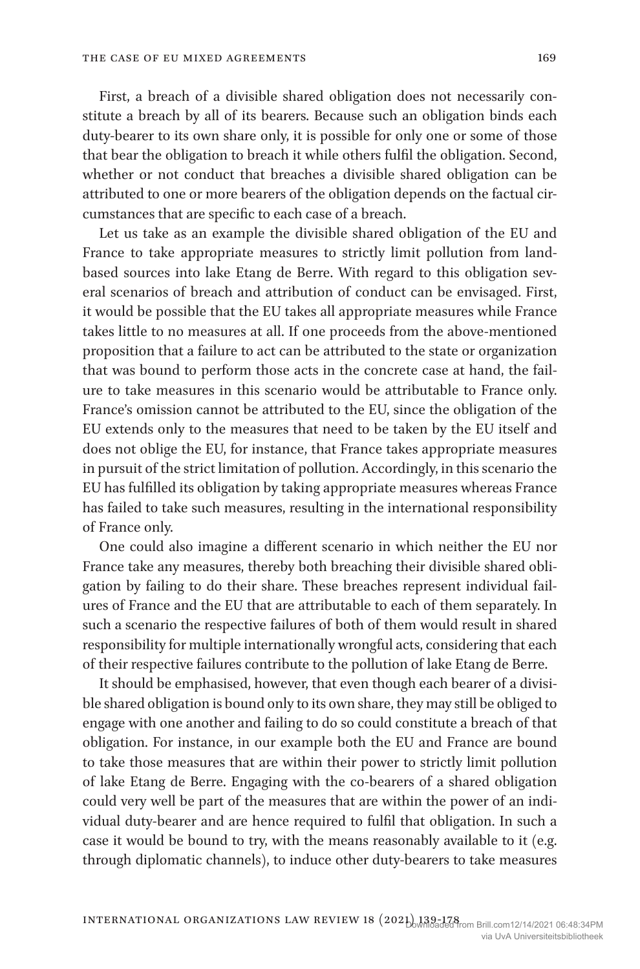First, a breach of a divisible shared obligation does not necessarily constitute a breach by all of its bearers. Because such an obligation binds each duty-bearer to its own share only, it is possible for only one or some of those that bear the obligation to breach it while others fulfil the obligation. Second, whether or not conduct that breaches a divisible shared obligation can be attributed to one or more bearers of the obligation depends on the factual circumstances that are specific to each case of a breach.

Let us take as an example the divisible shared obligation of the EU and France to take appropriate measures to strictly limit pollution from landbased sources into lake Etang de Berre. With regard to this obligation several scenarios of breach and attribution of conduct can be envisaged. First, it would be possible that the EU takes all appropriate measures while France takes little to no measures at all. If one proceeds from the above-mentioned proposition that a failure to act can be attributed to the state or organization that was bound to perform those acts in the concrete case at hand, the failure to take measures in this scenario would be attributable to France only. France's omission cannot be attributed to the EU, since the obligation of the EU extends only to the measures that need to be taken by the EU itself and does not oblige the EU, for instance, that France takes appropriate measures in pursuit of the strict limitation of pollution. Accordingly, in this scenario the EU has fulfilled its obligation by taking appropriate measures whereas France has failed to take such measures, resulting in the international responsibility of France only.

One could also imagine a different scenario in which neither the EU nor France take any measures, thereby both breaching their divisible shared obligation by failing to do their share. These breaches represent individual failures of France and the EU that are attributable to each of them separately. In such a scenario the respective failures of both of them would result in shared responsibility for multiple internationally wrongful acts, considering that each of their respective failures contribute to the pollution of lake Etang de Berre.

It should be emphasised, however, that even though each bearer of a divisible shared obligation is bound only to its own share, they may still be obliged to engage with one another and failing to do so could constitute a breach of that obligation. For instance, in our example both the EU and France are bound to take those measures that are within their power to strictly limit pollution of lake Etang de Berre. Engaging with the co-bearers of a shared obligation could very well be part of the measures that are within the power of an individual duty-bearer and are hence required to fulfil that obligation. In such a case it would be bound to try, with the means reasonably available to it (e.g. through diplomatic channels), to induce other duty-bearers to take measures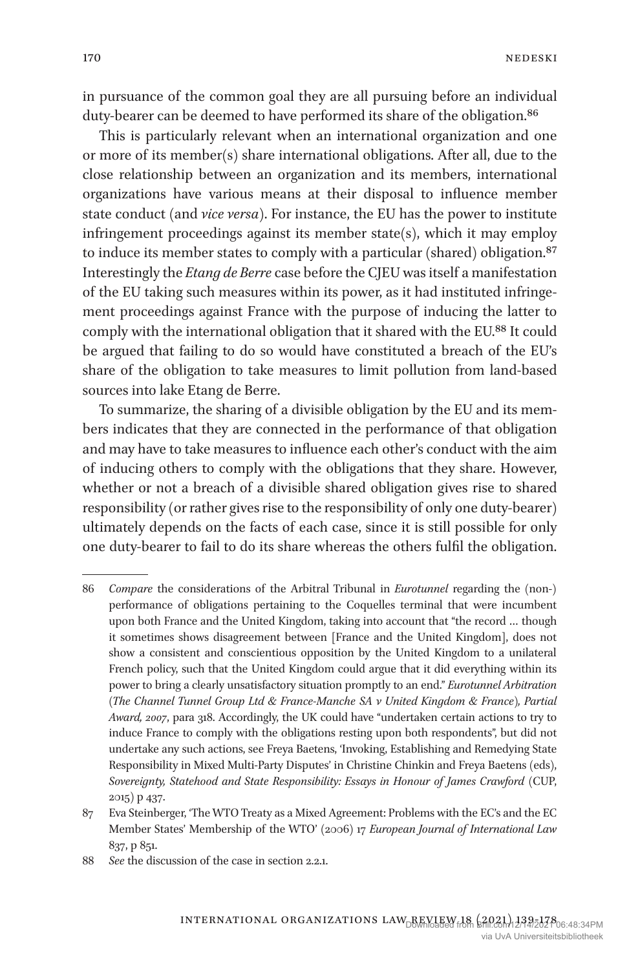in pursuance of the common goal they are all pursuing before an individual duty-bearer can be deemed to have performed its share of the obligation.<sup>86</sup>

This is particularly relevant when an international organization and one or more of its member(s) share international obligations. After all, due to the close relationship between an organization and its members, international organizations have various means at their disposal to influence member state conduct (and *vice versa*). For instance, the EU has the power to institute infringement proceedings against its member state(s), which it may employ to induce its member states to comply with a particular (shared) obligation.<sup>87</sup> Interestingly the *Etang de Berre* case before the CJEU was itself a manifestation of the EU taking such measures within its power, as it had instituted infringement proceedings against France with the purpose of inducing the latter to comply with the international obligation that it shared with the EU.88 It could be argued that failing to do so would have constituted a breach of the EU's share of the obligation to take measures to limit pollution from land-based sources into lake Etang de Berre.

To summarize, the sharing of a divisible obligation by the EU and its members indicates that they are connected in the performance of that obligation and may have to take measures to influence each other's conduct with the aim of inducing others to comply with the obligations that they share. However, whether or not a breach of a divisible shared obligation gives rise to shared responsibility (or rather gives rise to the responsibility of only one duty-bearer) ultimately depends on the facts of each case, since it is still possible for only one duty-bearer to fail to do its share whereas the others fulfil the obligation.

<sup>86</sup> *Compare* the considerations of the Arbitral Tribunal in *Eurotunnel* regarding the (non-) performance of obligations pertaining to the Coquelles terminal that were incumbent upon both France and the United Kingdom, taking into account that "the record … though it sometimes shows disagreement between [France and the United Kingdom], does not show a consistent and conscientious opposition by the United Kingdom to a unilateral French policy, such that the United Kingdom could argue that it did everything within its power to bring a clearly unsatisfactory situation promptly to an end." *Eurotunnel Arbitration (The Channel Tunnel Group Ltd & France-Manche SA v United Kingdom & France), Partial Award, 2007*, para 318. Accordingly, the UK could have "undertaken certain actions to try to induce France to comply with the obligations resting upon both respondents", but did not undertake any such actions, see Freya Baetens, 'Invoking, Establishing and Remedying State Responsibility in Mixed Multi-Party Disputes' in Christine Chinkin and Freya Baetens (eds), *Sovereignty, Statehood and State Responsibility: Essays in Honour of James Crawford* (CUP, 2015) p 437.

<sup>87</sup> Eva Steinberger, 'The WTO Treaty as a Mixed Agreement: Problems with the EC's and the EC Member States' Membership of the WTO' (2006) 17 *European Journal of International Law* 837, p 851.

<sup>88</sup> *See* the discussion of the case in section 2.2.1.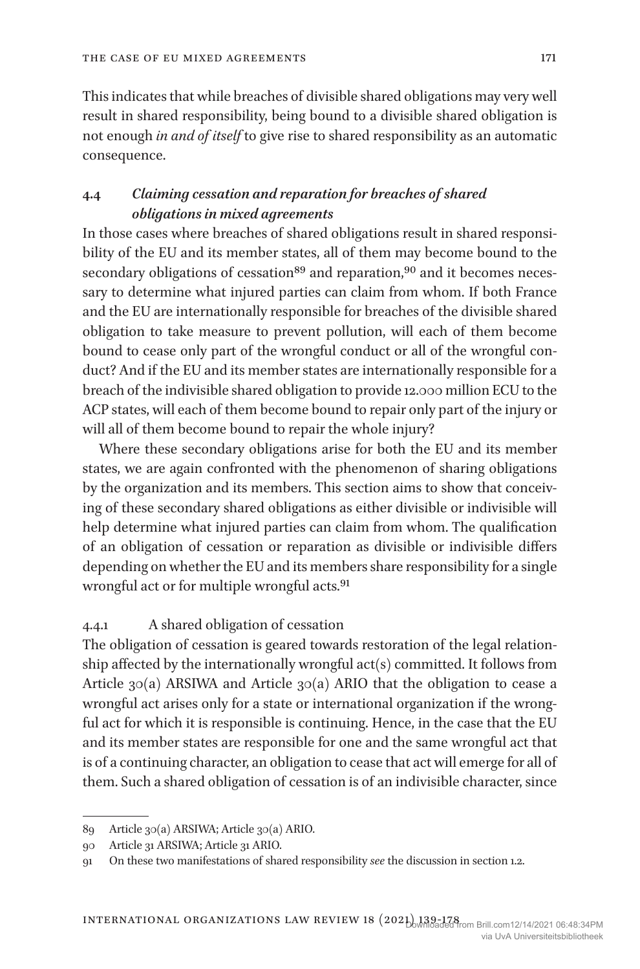This indicates that while breaches of divisible shared obligations may very well result in shared responsibility, being bound to a divisible shared obligation is not enough *in and of itself* to give rise to shared responsibility as an automatic consequence.

## **4.4** *Claiming cessation and reparation for breaches of shared obligations in mixed agreements*

In those cases where breaches of shared obligations result in shared responsibility of the EU and its member states, all of them may become bound to the secondary obligations of cessation<sup>89</sup> and reparation,<sup>90</sup> and it becomes necessary to determine what injured parties can claim from whom. If both France and the EU are internationally responsible for breaches of the divisible shared obligation to take measure to prevent pollution, will each of them become bound to cease only part of the wrongful conduct or all of the wrongful conduct? And if the EU and its member states are internationally responsible for a breach of the indivisible shared obligation to provide 12.000 million ECU to the ACP states, will each of them become bound to repair only part of the injury or will all of them become bound to repair the whole injury?

Where these secondary obligations arise for both the EU and its member states, we are again confronted with the phenomenon of sharing obligations by the organization and its members. This section aims to show that conceiving of these secondary shared obligations as either divisible or indivisible will help determine what injured parties can claim from whom. The qualification of an obligation of cessation or reparation as divisible or indivisible differs depending on whether the EU and its members share responsibility for a single wrongful act or for multiple wrongful acts.91

#### 4.4.1 A shared obligation of cessation

The obligation of cessation is geared towards restoration of the legal relationship affected by the internationally wrongful act(s) committed. It follows from Article 30(a) ARSIWA and Article 30(a) ARIO that the obligation to cease a wrongful act arises only for a state or international organization if the wrongful act for which it is responsible is continuing. Hence, in the case that the EU and its member states are responsible for one and the same wrongful act that is of a continuing character, an obligation to cease that act will emerge for all of them. Such a shared obligation of cessation is of an indivisible character, since

<sup>89</sup> Article 30(a) ARSIWA; Article 30(a) ARIO.

<sup>90</sup> Article 31 ARSIWA; Article 31 ARIO.

<sup>91</sup> On these two manifestations of shared responsibility *see* the discussion in section 1.2.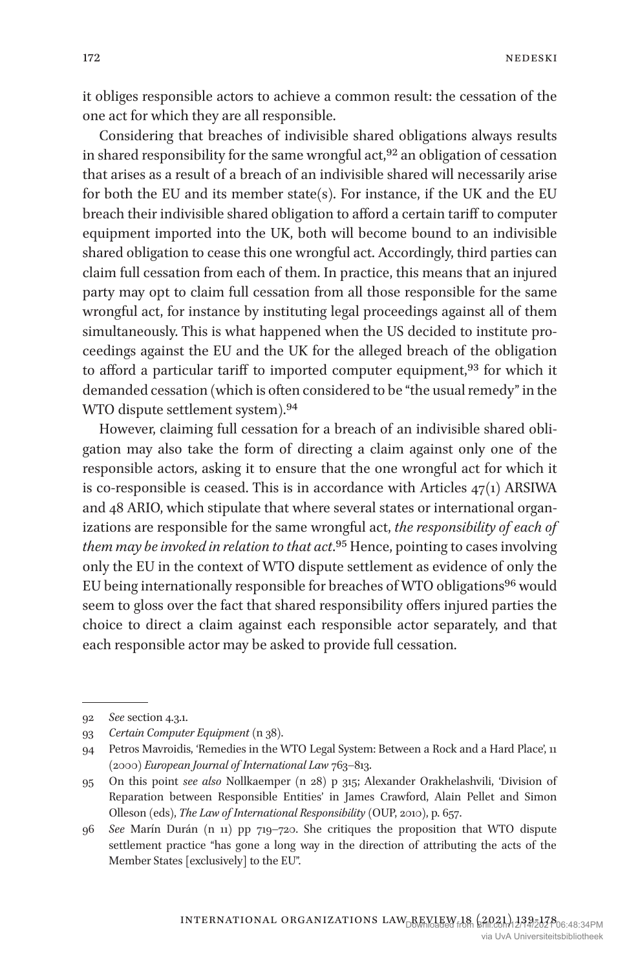it obliges responsible actors to achieve a common result: the cessation of the one act for which they are all responsible.

Considering that breaches of indivisible shared obligations always results in shared responsibility for the same wrongful act, $92$  an obligation of cessation that arises as a result of a breach of an indivisible shared will necessarily arise for both the EU and its member state(s). For instance, if the UK and the EU breach their indivisible shared obligation to afford a certain tariff to computer equipment imported into the UK, both will become bound to an indivisible shared obligation to cease this one wrongful act. Accordingly, third parties can claim full cessation from each of them. In practice, this means that an injured party may opt to claim full cessation from all those responsible for the same wrongful act, for instance by instituting legal proceedings against all of them simultaneously. This is what happened when the US decided to institute proceedings against the EU and the UK for the alleged breach of the obligation to afford a particular tariff to imported computer equipment,<sup>93</sup> for which it demanded cessation (which is often considered to be "the usual remedy" in the WTO dispute settlement system).94

However, claiming full cessation for a breach of an indivisible shared obligation may also take the form of directing a claim against only one of the responsible actors, asking it to ensure that the one wrongful act for which it is co-responsible is ceased. This is in accordance with Articles 47(1) ARSIWA and 48 ARIO, which stipulate that where several states or international organizations are responsible for the same wrongful act, *the responsibility of each of them may be invoked in relation to that act*.95 Hence, pointing to cases involving only the EU in the context of WTO dispute settlement as evidence of only the EU being internationally responsible for breaches of WTO obligations<sup>96</sup> would seem to gloss over the fact that shared responsibility offers injured parties the choice to direct a claim against each responsible actor separately, and that each responsible actor may be asked to provide full cessation.

<sup>92</sup> *See* section 4.3.1.

<sup>93</sup> *Certain Computer Equipment* (n 38).

<sup>94</sup> Petros Mavroidis, 'Remedies in the WTO Legal System: Between a Rock and a Hard Place', 11 (2000) *European Journal of International Law* 763–813.

<sup>95</sup> On this point *see also* Nollkaemper (n 28) p 315; Alexander Orakhelashvili, 'Division of Reparation between Responsible Entities' in James Crawford, Alain Pellet and Simon Olleson (eds), *The Law of International Responsibility* (OUP, 2010), p. 657.

<sup>96</sup> *See* Marín Durán (n 11) pp 719–720. She critiques the proposition that WTO dispute settlement practice "has gone a long way in the direction of attributing the acts of the Member States [exclusively] to the EU".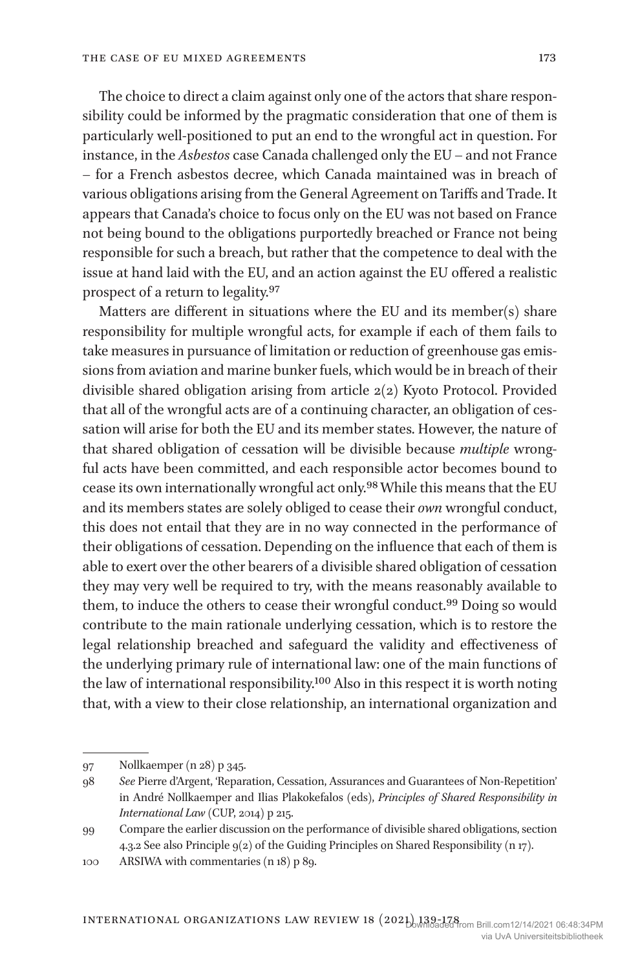The choice to direct a claim against only one of the actors that share responsibility could be informed by the pragmatic consideration that one of them is particularly well-positioned to put an end to the wrongful act in question. For instance, in the *Asbestos* case Canada challenged only the EU – and not France – for a French asbestos decree, which Canada maintained was in breach of various obligations arising from the General Agreement on Tariffs and Trade. It appears that Canada's choice to focus only on the EU was not based on France not being bound to the obligations purportedly breached or France not being responsible for such a breach, but rather that the competence to deal with the issue at hand laid with the EU, and an action against the EU offered a realistic prospect of a return to legality.97

Matters are different in situations where the EU and its member(s) share responsibility for multiple wrongful acts, for example if each of them fails to take measures in pursuance of limitation or reduction of greenhouse gas emissions from aviation and marine bunker fuels, which would be in breach of their divisible shared obligation arising from article 2(2) Kyoto Protocol. Provided that all of the wrongful acts are of a continuing character, an obligation of cessation will arise for both the EU and its member states. However, the nature of that shared obligation of cessation will be divisible because *multiple* wrongful acts have been committed, and each responsible actor becomes bound to cease its own internationally wrongful act only.98 While this means that the EU and its members states are solely obliged to cease their *own* wrongful conduct, this does not entail that they are in no way connected in the performance of their obligations of cessation. Depending on the influence that each of them is able to exert over the other bearers of a divisible shared obligation of cessation they may very well be required to try, with the means reasonably available to them, to induce the others to cease their wrongful conduct.<sup>99</sup> Doing so would contribute to the main rationale underlying cessation, which is to restore the legal relationship breached and safeguard the validity and effectiveness of the underlying primary rule of international law: one of the main functions of the law of international responsibility.100 Also in this respect it is worth noting that, with a view to their close relationship, an international organization and

<sup>97</sup> Nollkaemper (n 28) p 345.

<sup>98</sup> *See* Pierre d'Argent, 'Reparation, Cessation, Assurances and Guarantees of Non-Repetition' in André Nollkaemper and Ilias Plakokefalos (eds), *Principles of Shared Responsibility in International Law* (CUP, 2014) p 215.

<sup>99</sup> Compare the earlier discussion on the performance of divisible shared obligations, section 4.3.2 See also Principle 9(2) of the Guiding Principles on Shared Responsibility (n 17).

<sup>100</sup> ARSIWA with commentaries (n 18) p 89.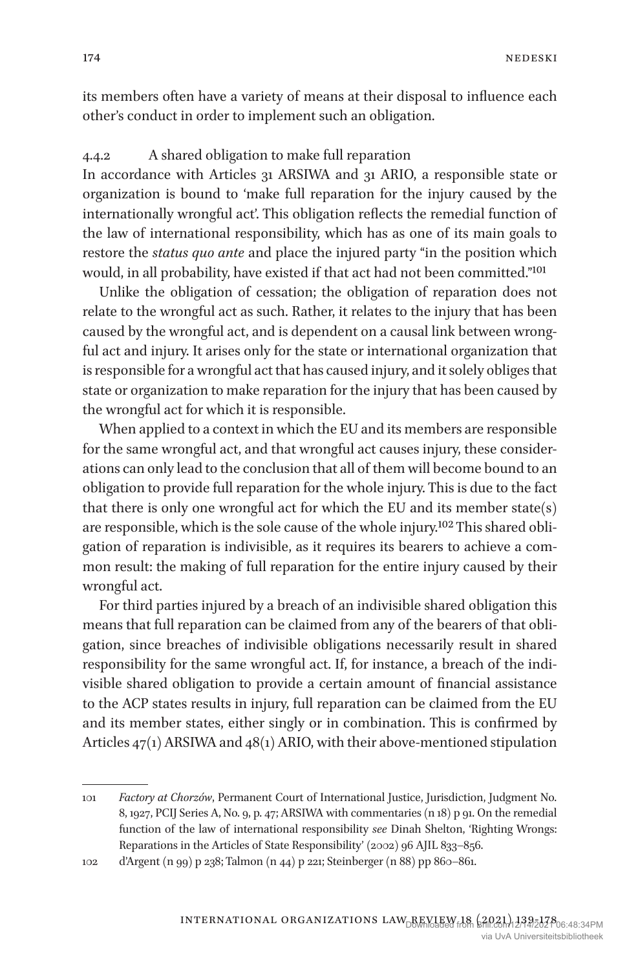its members often have a variety of means at their disposal to influence each other's conduct in order to implement such an obligation.

#### 4.4.2 A shared obligation to make full reparation

In accordance with Articles 31 ARSIWA and 31 ARIO, a responsible state or organization is bound to 'make full reparation for the injury caused by the internationally wrongful act'. This obligation reflects the remedial function of the law of international responsibility, which has as one of its main goals to restore the *status quo ante* and place the injured party "in the position which would, in all probability, have existed if that act had not been committed."101

Unlike the obligation of cessation; the obligation of reparation does not relate to the wrongful act as such. Rather, it relates to the injury that has been caused by the wrongful act, and is dependent on a causal link between wrongful act and injury. It arises only for the state or international organization that is responsible for a wrongful act that has caused injury, and it solely obliges that state or organization to make reparation for the injury that has been caused by the wrongful act for which it is responsible.

When applied to a context in which the EU and its members are responsible for the same wrongful act, and that wrongful act causes injury, these considerations can only lead to the conclusion that all of them will become bound to an obligation to provide full reparation for the whole injury. This is due to the fact that there is only one wrongful act for which the EU and its member state(s) are responsible, which is the sole cause of the whole injury.102 This shared obligation of reparation is indivisible, as it requires its bearers to achieve a common result: the making of full reparation for the entire injury caused by their wrongful act.

For third parties injured by a breach of an indivisible shared obligation this means that full reparation can be claimed from any of the bearers of that obligation, since breaches of indivisible obligations necessarily result in shared responsibility for the same wrongful act. If, for instance, a breach of the indivisible shared obligation to provide a certain amount of financial assistance to the ACP states results in injury, full reparation can be claimed from the EU and its member states, either singly or in combination. This is confirmed by Articles 47(1) ARSIWA and 48(1) ARIO, with their above-mentioned stipulation

<sup>101</sup> *Factory at Chorzów*, Permanent Court of International Justice, Jurisdiction, Judgment No. 8, 1927, PCIJ Series A, No. 9, p. 47; ARSIWA with commentaries (n 18) p 91. On the remedial function of the law of international responsibility *see* Dinah Shelton, 'Righting Wrongs: Reparations in the Articles of State Responsibility' (2002) 96 AJIL 833–856.

<sup>102</sup> d'Argent (n 99) p 238; Talmon (n 44) p 221; Steinberger (n 88) pp 860–861.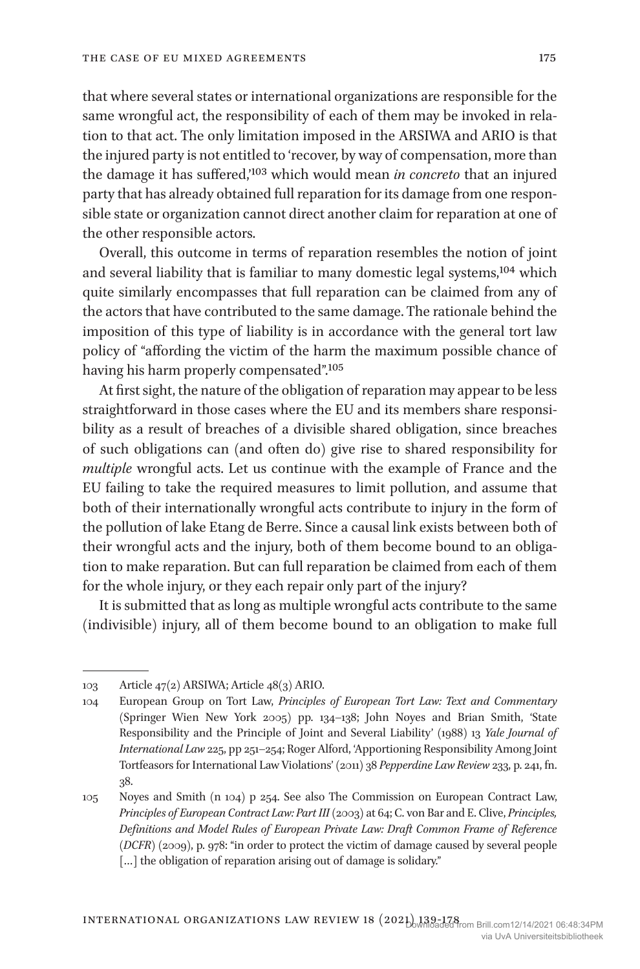that where several states or international organizations are responsible for the same wrongful act, the responsibility of each of them may be invoked in relation to that act. The only limitation imposed in the ARSIWA and ARIO is that the injured party is not entitled to 'recover, by way of compensation, more than the damage it has suffered,'103 which would mean *in concreto* that an injured party that has already obtained full reparation for its damage from one responsible state or organization cannot direct another claim for reparation at one of the other responsible actors.

Overall, this outcome in terms of reparation resembles the notion of joint and several liability that is familiar to many domestic legal systems,104 which quite similarly encompasses that full reparation can be claimed from any of the actors that have contributed to the same damage. The rationale behind the imposition of this type of liability is in accordance with the general tort law policy of "affording the victim of the harm the maximum possible chance of having his harm properly compensated".<sup>105</sup>

At first sight, the nature of the obligation of reparation may appear to be less straightforward in those cases where the EU and its members share responsibility as a result of breaches of a divisible shared obligation, since breaches of such obligations can (and often do) give rise to shared responsibility for *multiple* wrongful acts. Let us continue with the example of France and the EU failing to take the required measures to limit pollution, and assume that both of their internationally wrongful acts contribute to injury in the form of the pollution of lake Etang de Berre. Since a causal link exists between both of their wrongful acts and the injury, both of them become bound to an obligation to make reparation. But can full reparation be claimed from each of them for the whole injury, or they each repair only part of the injury?

It is submitted that as long as multiple wrongful acts contribute to the same (indivisible) injury, all of them become bound to an obligation to make full

<sup>103</sup> Article 47(2) ARSIWA; Article 48(3) ARIO.

<sup>104</sup> European Group on Tort Law, *Principles of European Tort Law: Text and Commentary* (Springer Wien New York 2005) pp. 134–138; John Noyes and Brian Smith, 'State Responsibility and the Principle of Joint and Several Liability' (1988) 13 *Yale Journal of International Law* 225, pp 251–254; Roger Alford, 'Apportioning Responsibility Among Joint Tortfeasors for International Law Violations' (2011) 38 *Pepperdine Law Review* 233, p. 241, fn. 38.

<sup>105</sup> Noyes and Smith (n 104) p 254. See also The Commission on European Contract Law, *Principles of European Contract Law: Part III* (2003) at 64; C. von Bar and E. Clive, *Principles, Definitions and Model Rules of European Private Law: Draft Common Frame of Reference (DCFR*) (2009), p. 978: "in order to protect the victim of damage caused by several people [...] the obligation of reparation arising out of damage is solidary."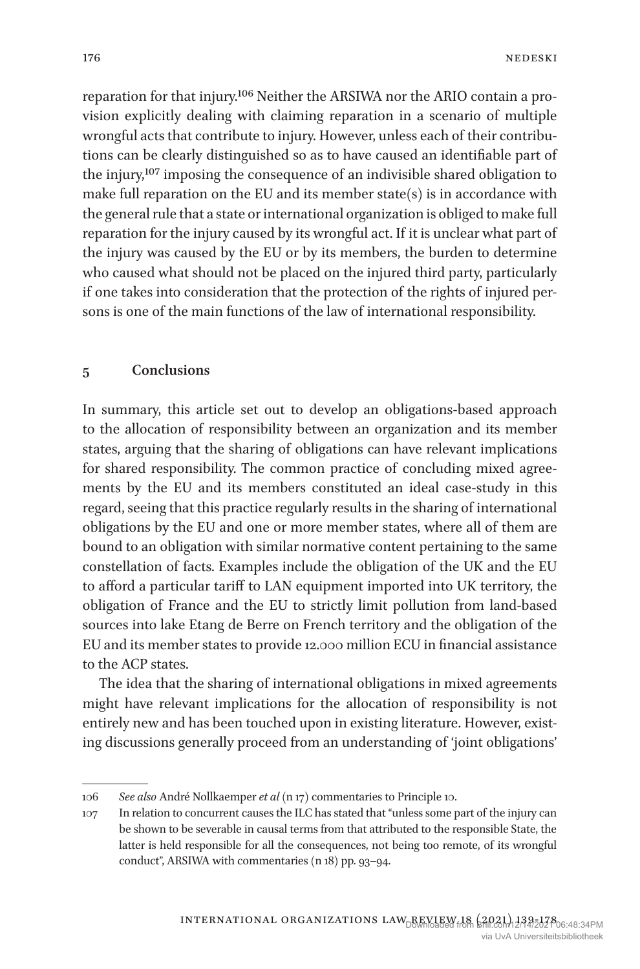reparation for that injury.106 Neither the ARSIWA nor the ARIO contain a provision explicitly dealing with claiming reparation in a scenario of multiple wrongful acts that contribute to injury. However, unless each of their contributions can be clearly distinguished so as to have caused an identifiable part of the injury,107 imposing the consequence of an indivisible shared obligation to make full reparation on the EU and its member state(s) is in accordance with the general rule that a state or international organization is obliged to make full reparation for the injury caused by its wrongful act. If it is unclear what part of the injury was caused by the EU or by its members, the burden to determine who caused what should not be placed on the injured third party, particularly if one takes into consideration that the protection of the rights of injured persons is one of the main functions of the law of international responsibility.

#### **5 Conclusions**

In summary, this article set out to develop an obligations-based approach to the allocation of responsibility between an organization and its member states, arguing that the sharing of obligations can have relevant implications for shared responsibility. The common practice of concluding mixed agreements by the EU and its members constituted an ideal case-study in this regard, seeing that this practice regularly results in the sharing of international obligations by the EU and one or more member states, where all of them are bound to an obligation with similar normative content pertaining to the same constellation of facts. Examples include the obligation of the UK and the EU to afford a particular tariff to LAN equipment imported into UK territory, the obligation of France and the EU to strictly limit pollution from land-based sources into lake Etang de Berre on French territory and the obligation of the EU and its member states to provide 12.000 million ECU in financial assistance to the ACP states.

The idea that the sharing of international obligations in mixed agreements might have relevant implications for the allocation of responsibility is not entirely new and has been touched upon in existing literature. However, existing discussions generally proceed from an understanding of 'joint obligations'

<sup>106</sup> *See also* André Nollkaemper *et al* (n 17) commentaries to Principle 10.

<sup>107</sup> In relation to concurrent causes the ILC has stated that "unless some part of the injury can be shown to be severable in causal terms from that attributed to the responsible State, the latter is held responsible for all the consequences, not being too remote, of its wrongful conduct", ARSIWA with commentaries (n 18) pp. 93–94.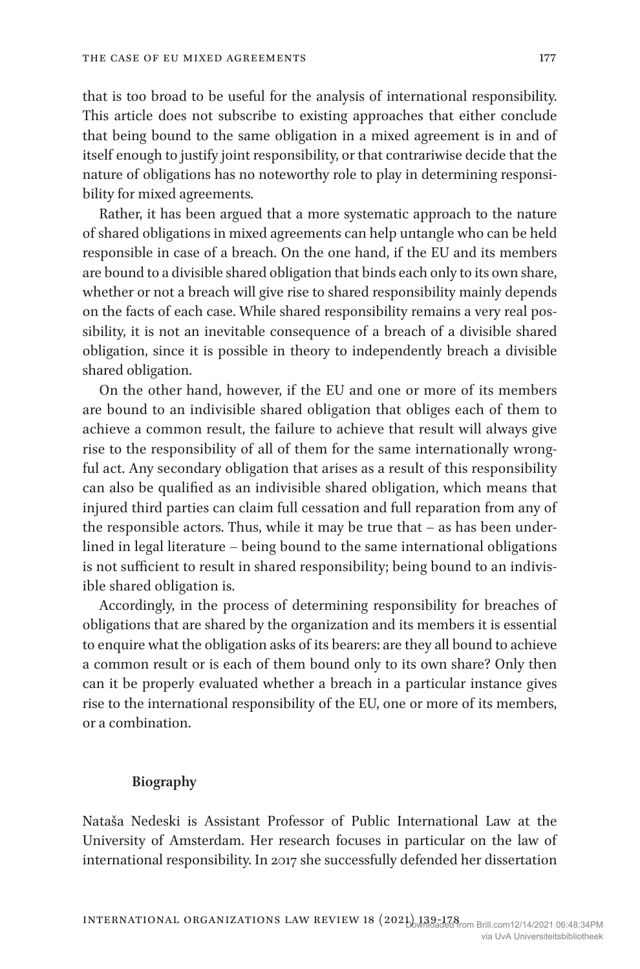that is too broad to be useful for the analysis of international responsibility. This article does not subscribe to existing approaches that either conclude that being bound to the same obligation in a mixed agreement is in and of itself enough to justify joint responsibility, or that contrariwise decide that the nature of obligations has no noteworthy role to play in determining responsibility for mixed agreements.

Rather, it has been argued that a more systematic approach to the nature of shared obligations in mixed agreements can help untangle who can be held responsible in case of a breach. On the one hand, if the EU and its members are bound to a divisible shared obligation that binds each only to its own share, whether or not a breach will give rise to shared responsibility mainly depends on the facts of each case. While shared responsibility remains a very real possibility, it is not an inevitable consequence of a breach of a divisible shared obligation, since it is possible in theory to independently breach a divisible shared obligation.

On the other hand, however, if the EU and one or more of its members are bound to an indivisible shared obligation that obliges each of them to achieve a common result, the failure to achieve that result will always give rise to the responsibility of all of them for the same internationally wrongful act. Any secondary obligation that arises as a result of this responsibility can also be qualified as an indivisible shared obligation, which means that injured third parties can claim full cessation and full reparation from any of the responsible actors. Thus, while it may be true that – as has been underlined in legal literature – being bound to the same international obligations is not sufficient to result in shared responsibility; being bound to an indivisible shared obligation is.

Accordingly, in the process of determining responsibility for breaches of obligations that are shared by the organization and its members it is essential to enquire what the obligation asks of its bearers: are they all bound to achieve a common result or is each of them bound only to its own share? Only then can it be properly evaluated whether a breach in a particular instance gives rise to the international responsibility of the EU, one or more of its members, or a combination.

#### **Biography**

Nataša Nedeski is Assistant Professor of Public International Law at the University of Amsterdam. Her research focuses in particular on the law of international responsibility. In 2017 she successfully defended her dissertation